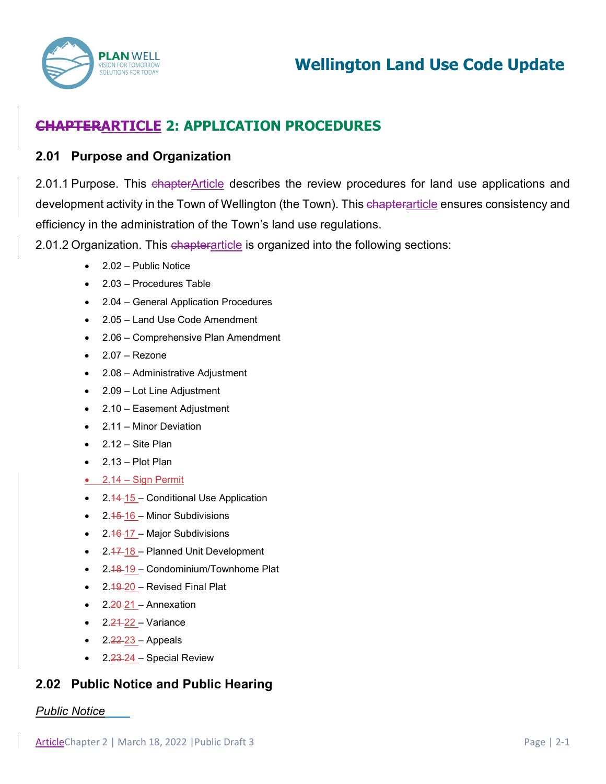

# **CHAPTERARTICLE 2: APPLICATION PROCEDURES**

### **2.01 Purpose and Organization**

2.01.1 Purpose. This chapterArticle describes the review procedures for land use applications and development activity in the Town of Wellington (the Town). This chapterarticle ensures consistency and efficiency in the administration of the Town's land use regulations.

2.01.2 Organization. This chapterarticle is organized into the following sections:

- 2.02 Public Notice
- 2.03 Procedures Table
- 2.04 General Application Procedures
- 2.05 Land Use Code Amendment
- 2.06 Comprehensive Plan Amendment
- $2.07 -$ Rezone
- 2.08 Administrative Adjustment
- 2.09 Lot Line Adjustment
- 2.10 Easement Adjustment
- 2.11 Minor Deviation
- $\bullet$  2.12 Site Plan
- 2.13 Plot Plan
- 2.14 Sign Permit
- $2.44 15$  Conditional Use Application
- $\bullet$  2.45-16 Minor Subdivisions
- 2.46-17 Major Subdivisions
- 2.47-18 Planned Unit Development
- 2.48-19 Condominium/Townhome Plat
- $2.19 20$  Revised Final Plat
- 2.<del>20</del>-21 Annexation
- $\bullet$  2.21-22 Variance
- 2.22 23 Appeals
- 2.23-24 Special Review

# **2.02 Public Notice and Public Hearing**

### *Public Notice*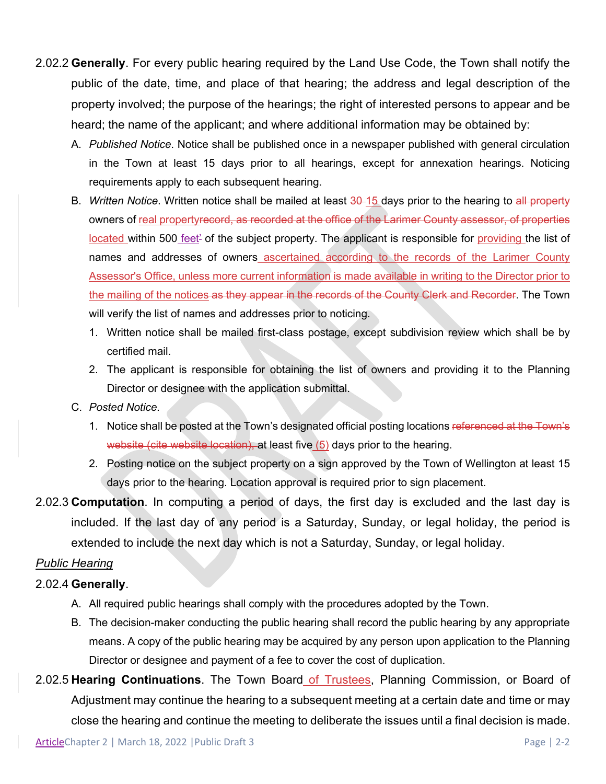- 2.02.2 **Generally**. For every public hearing required by the Land Use Code, the Town shall notify the public of the date, time, and place of that hearing; the address and legal description of the property involved; the purpose of the hearings; the right of interested persons to appear and be heard; the name of the applicant; and where additional information may be obtained by:
	- A. *Published Notice*. Notice shall be published once in a newspaper published with general circulation in the Town at least 15 days prior to all hearings, except for annexation hearings. Noticing requirements apply to each subsequent hearing.
	- B. *Written Notice*. Written notice shall be mailed at least 30-15 days prior to the hearing to all property owners of real propertyrecord, as recorded at the office of the Larimer County assessor, of properties located within 500 feet<sup>2</sup> of the subject property. The applicant is responsible for providing the list of names and addresses of owners ascertained according to the records of the Larimer County Assessor's Office, unless more current information is made available in writing to the Director prior to the mailing of the notices as they appear in the records of the County Clerk and Recorder. The Town will verify the list of names and addresses prior to noticing.
		- 1. Written notice shall be mailed first-class postage, except subdivision review which shall be by certified mail.
		- 2. The applicant is responsible for obtaining the list of owners and providing it to the Planning Director or designee with the application submittal.
	- C. *Posted Notice*.
		- 1. Notice shall be posted at the Town's designated official posting locations referenced at the Town's website (cite website location), at least five (5) days prior to the hearing.
		- 2. Posting notice on the subject property on a sign approved by the Town of Wellington at least 15 days prior to the hearing. Location approval is required prior to sign placement.
- 2.02.3 **Computation**. In computing a period of days, the first day is excluded and the last day is included. If the last day of any period is a Saturday, Sunday, or legal holiday, the period is extended to include the next day which is not a Saturday, Sunday, or legal holiday.

### *Public Hearing*

### 2.02.4 **Generally**.

- A. All required public hearings shall comply with the procedures adopted by the Town.
- B. The decision-maker conducting the public hearing shall record the public hearing by any appropriate means. A copy of the public hearing may be acquired by any person upon application to the Planning Director or designee and payment of a fee to cover the cost of duplication.
- 2.02.5 **Hearing Continuations**. The Town Board of Trustees, Planning Commission, or Board of Adjustment may continue the hearing to a subsequent meeting at a certain date and time or may close the hearing and continue the meeting to deliberate the issues until a final decision is made.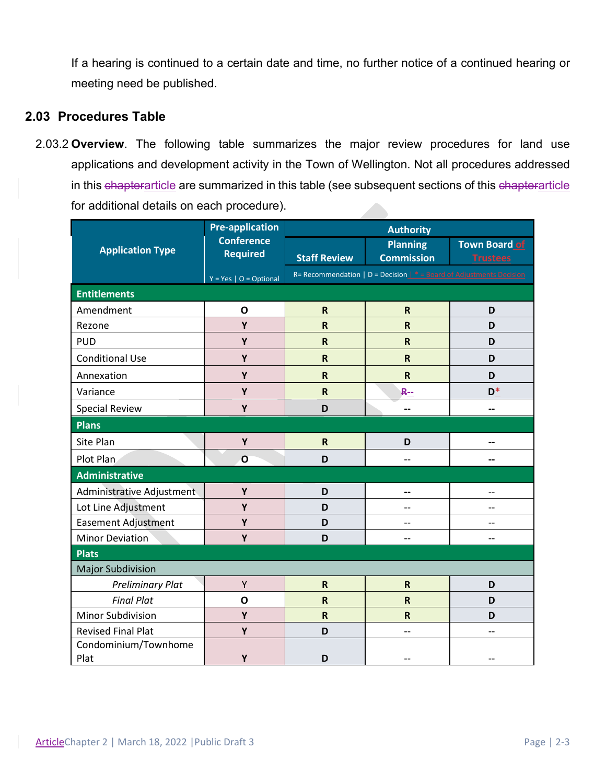If a hearing is continued to a certain date and time, no further notice of a continued hearing or meeting need be published.

### **2.03 Procedures Table**

2.03.2 **Overview**. The following table summarizes the major review procedures for land use applications and development activity in the Town of Wellington. Not all procedures addressed in this chapterarticle are summarized in this table (see subsequent sections of this chapterarticle for additional details on each procedure). 

| <b>Application Type</b>      | <b>Pre-application</b><br><b>Conference</b><br><b>Required</b> | <b>Authority</b>        |                                                                                 |                      |
|------------------------------|----------------------------------------------------------------|-------------------------|---------------------------------------------------------------------------------|----------------------|
|                              |                                                                |                         | <b>Planning</b>                                                                 | <b>Town Board of</b> |
|                              |                                                                | <b>Staff Review</b>     | <b>Commission</b>                                                               | <b>Trustees</b>      |
|                              | $Y = Yes \mid O = Optional$                                    |                         | R= Recommendation   D = Decision $\mathbf{I}^*$ = Board of Adjustments Decision |                      |
| <b>Entitlements</b>          |                                                                |                         |                                                                                 |                      |
| Amendment                    | $\mathbf{o}$                                                   | $\mathsf{R}$            | $\mathsf R$                                                                     | D                    |
| Rezone                       | Y                                                              | $\mathsf R$             | $\overline{\mathsf{R}}$                                                         | D                    |
| <b>PUD</b>                   | Υ                                                              | $\mathsf R$             | $\overline{\mathsf{R}}$                                                         | D                    |
| <b>Conditional Use</b>       | Y                                                              | $\overline{\mathsf{R}}$ | $\overline{\mathsf{R}}$                                                         | D                    |
| Annexation                   | Y                                                              | $\mathsf R$             | $\mathsf{R}$                                                                    | D                    |
| Variance                     | Υ                                                              | $\mathsf R$             | <b>R--</b>                                                                      | $D^*$                |
| <b>Special Review</b>        | Y                                                              | D                       | --                                                                              | --                   |
| <b>Plans</b>                 |                                                                |                         |                                                                                 |                      |
| Site Plan                    | Y                                                              | $\mathsf R$             | D                                                                               |                      |
| Plot Plan                    | $\mathbf{o}$                                                   | D                       | $-$                                                                             |                      |
| <b>Administrative</b>        |                                                                |                         |                                                                                 |                      |
| Administrative Adjustment    | Y                                                              | D                       | --                                                                              | $-$                  |
| Lot Line Adjustment          | Y                                                              | D                       | $-$                                                                             |                      |
| <b>Easement Adjustment</b>   | Υ                                                              | D                       | --                                                                              | --                   |
| <b>Minor Deviation</b>       | Y                                                              | D                       | --                                                                              |                      |
| <b>Plats</b>                 |                                                                |                         |                                                                                 |                      |
| <b>Major Subdivision</b>     |                                                                |                         |                                                                                 |                      |
| <b>Preliminary Plat</b>      | Υ                                                              | $\mathsf R$             | $\mathsf R$                                                                     | D                    |
| <b>Final Plat</b>            | $\mathbf 0$                                                    | $\overline{\mathsf{R}}$ | $\overline{\mathsf{R}}$                                                         | D                    |
| <b>Minor Subdivision</b>     | Υ                                                              | $\overline{\mathsf{R}}$ | $\overline{\mathsf{R}}$                                                         | D                    |
| <b>Revised Final Plat</b>    | Υ                                                              | D                       | --                                                                              |                      |
| Condominium/Townhome<br>Plat | Y                                                              | D                       |                                                                                 |                      |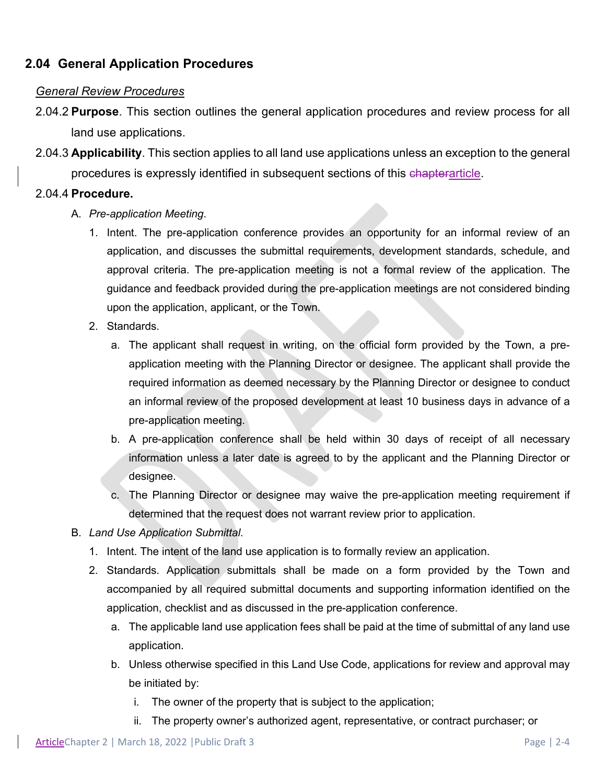# **2.04 General Application Procedures**

### *General Review Procedures*

- 2.04.2 **Purpose**. This section outlines the general application procedures and review process for all land use applications.
- 2.04.3 **Applicability**. This section applies to all land use applications unless an exception to the general procedures is expressly identified in subsequent sections of this chapterarticle.

#### 2.04.4 **Procedure.**

- A. *Pre-application Meeting*.
	- 1. Intent. The pre-application conference provides an opportunity for an informal review of an application, and discusses the submittal requirements, development standards, schedule, and approval criteria. The pre-application meeting is not a formal review of the application. The guidance and feedback provided during the pre-application meetings are not considered binding upon the application, applicant, or the Town.
	- 2. Standards.
		- a. The applicant shall request in writing, on the official form provided by the Town, a preapplication meeting with the Planning Director or designee. The applicant shall provide the required information as deemed necessary by the Planning Director or designee to conduct an informal review of the proposed development at least 10 business days in advance of a pre-application meeting.
		- b. A pre-application conference shall be held within 30 days of receipt of all necessary information unless a later date is agreed to by the applicant and the Planning Director or designee.
		- c. The Planning Director or designee may waive the pre-application meeting requirement if determined that the request does not warrant review prior to application.
- B. *Land Use Application Submittal*.
	- 1. Intent. The intent of the land use application is to formally review an application.
	- 2. Standards. Application submittals shall be made on a form provided by the Town and accompanied by all required submittal documents and supporting information identified on the application, checklist and as discussed in the pre-application conference.
		- a. The applicable land use application fees shall be paid at the time of submittal of any land use application.
		- b. Unless otherwise specified in this Land Use Code, applications for review and approval may be initiated by:
			- i. The owner of the property that is subject to the application;
			- ii. The property owner's authorized agent, representative, or contract purchaser; or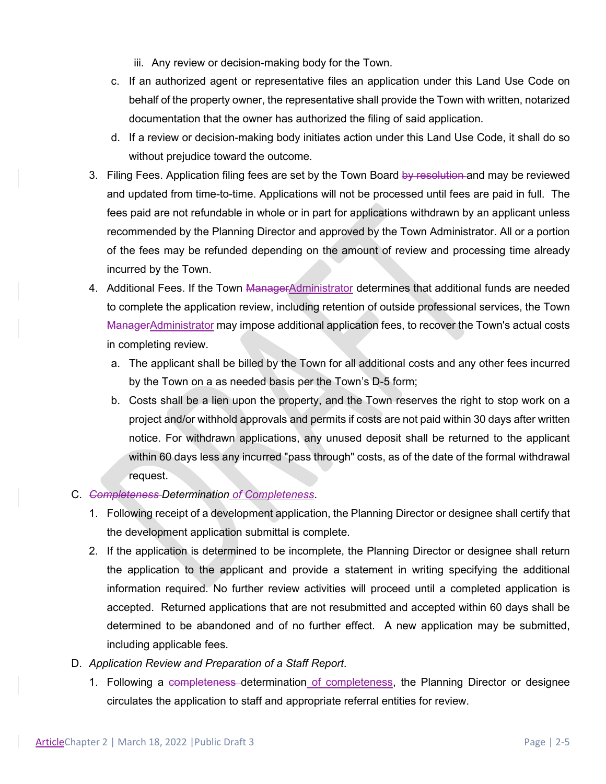- iii. Any review or decision-making body for the Town.
- c. If an authorized agent or representative files an application under this Land Use Code on behalf of the property owner, the representative shall provide the Town with written, notarized documentation that the owner has authorized the filing of said application.
- d. If a review or decision-making body initiates action under this Land Use Code, it shall do so without prejudice toward the outcome.
- 3. Filing Fees. Application filing fees are set by the Town Board by resolution and may be reviewed and updated from time-to-time. Applications will not be processed until fees are paid in full. The fees paid are not refundable in whole or in part for applications withdrawn by an applicant unless recommended by the Planning Director and approved by the Town Administrator. All or a portion of the fees may be refunded depending on the amount of review and processing time already incurred by the Town.
- 4. Additional Fees. If the Town ManagerAdministrator determines that additional funds are needed to complete the application review, including retention of outside professional services, the Town ManagerAdministrator may impose additional application fees, to recover the Town's actual costs in completing review.
	- a. The applicant shall be billed by the Town for all additional costs and any other fees incurred by the Town on a as needed basis per the Town's D-5 form;
	- b. Costs shall be a lien upon the property, and the Town reserves the right to stop work on a project and/or withhold approvals and permits if costs are not paid within 30 days after written notice. For withdrawn applications, any unused deposit shall be returned to the applicant within 60 days less any incurred "pass through" costs, as of the date of the formal withdrawal request.

### C. *Completeness Determination of Completeness*.

- 1. Following receipt of a development application, the Planning Director or designee shall certify that the development application submittal is complete.
- 2. If the application is determined to be incomplete, the Planning Director or designee shall return the application to the applicant and provide a statement in writing specifying the additional information required. No further review activities will proceed until a completed application is accepted. Returned applications that are not resubmitted and accepted within 60 days shall be determined to be abandoned and of no further effect. A new application may be submitted, including applicable fees.
- D. *Application Review and Preparation of a Staff Report*.
	- 1. Following a completeness-determination of completeness, the Planning Director or designee circulates the application to staff and appropriate referral entities for review.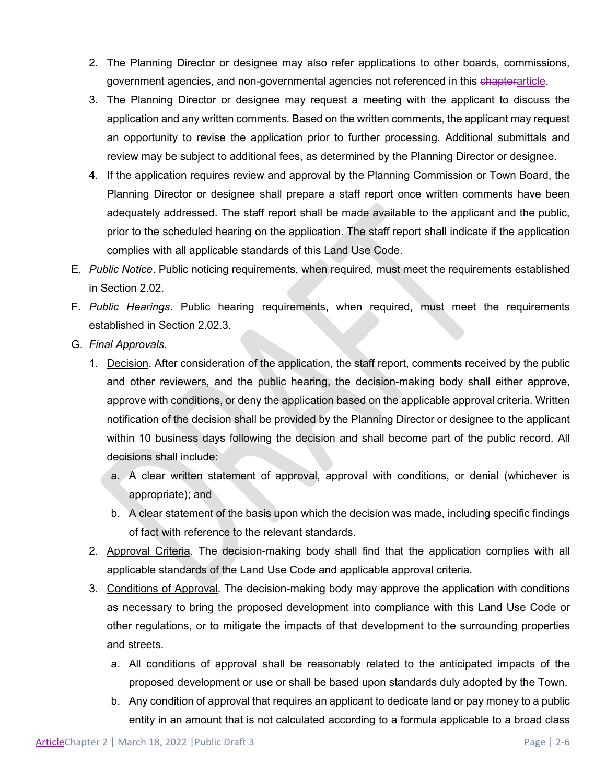- 2. The Planning Director or designee may also refer applications to other boards, commissions, government agencies, and non-governmental agencies not referenced in this chapterarticle.
- 3. The Planning Director or designee may request a meeting with the applicant to discuss the application and any written comments. Based on the written comments, the applicant may request an opportunity to revise the application prior to further processing. Additional submittals and review may be subject to additional fees, as determined by the Planning Director or designee.
- 4. If the application requires review and approval by the Planning Commission or Town Board, the Planning Director or designee shall prepare a staff report once written comments have been adequately addressed. The staff report shall be made available to the applicant and the public, prior to the scheduled hearing on the application. The staff report shall indicate if the application complies with all applicable standards of this Land Use Code.
- E. *Public Notice*. Public noticing requirements, when required, must meet the requirements established in Section 2.02.
- F. *Public Hearings*. Public hearing requirements, when required, must meet the requirements established in Section 2.02.3.
- G. *Final Approvals*.
	- 1. Decision. After consideration of the application, the staff report, comments received by the public and other reviewers, and the public hearing, the decision-making body shall either approve, approve with conditions, or deny the application based on the applicable approval criteria. Written notification of the decision shall be provided by the Planning Director or designee to the applicant within 10 business days following the decision and shall become part of the public record. All decisions shall include:
		- a. A clear written statement of approval, approval with conditions, or denial (whichever is appropriate); and
		- b. A clear statement of the basis upon which the decision was made, including specific findings of fact with reference to the relevant standards.
	- 2. Approval Criteria. The decision-making body shall find that the application complies with all applicable standards of the Land Use Code and applicable approval criteria.
	- 3. Conditions of Approval. The decision-making body may approve the application with conditions as necessary to bring the proposed development into compliance with this Land Use Code or other regulations, or to mitigate the impacts of that development to the surrounding properties and streets.
		- a. All conditions of approval shall be reasonably related to the anticipated impacts of the proposed development or use or shall be based upon standards duly adopted by the Town.
		- b. Any condition of approval that requires an applicant to dedicate land or pay money to a public entity in an amount that is not calculated according to a formula applicable to a broad class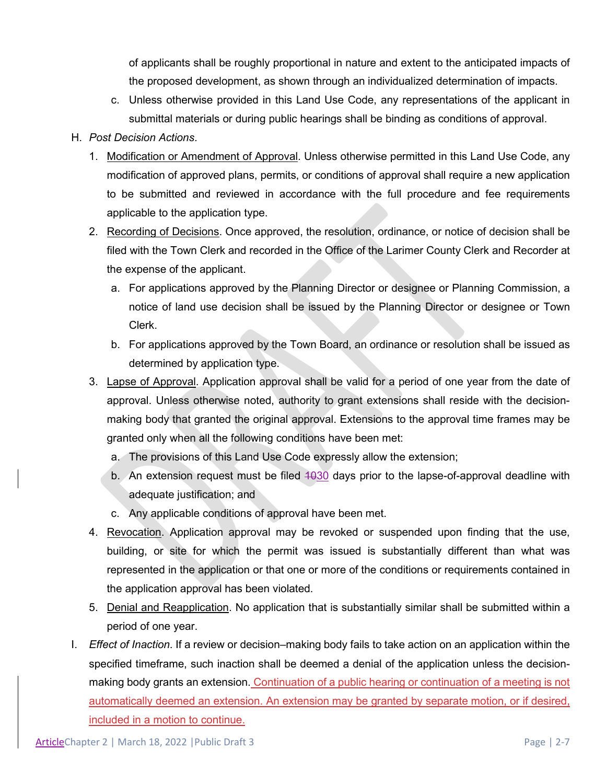of applicants shall be roughly proportional in nature and extent to the anticipated impacts of the proposed development, as shown through an individualized determination of impacts.

c. Unless otherwise provided in this Land Use Code, any representations of the applicant in submittal materials or during public hearings shall be binding as conditions of approval.

#### H. *Post Decision Actions*.

- 1. Modification or Amendment of Approval. Unless otherwise permitted in this Land Use Code, any modification of approved plans, permits, or conditions of approval shall require a new application to be submitted and reviewed in accordance with the full procedure and fee requirements applicable to the application type.
- 2. Recording of Decisions. Once approved, the resolution, ordinance, or notice of decision shall be filed with the Town Clerk and recorded in the Office of the Larimer County Clerk and Recorder at the expense of the applicant.
	- a. For applications approved by the Planning Director or designee or Planning Commission, a notice of land use decision shall be issued by the Planning Director or designee or Town Clerk.
	- b. For applications approved by the Town Board, an ordinance or resolution shall be issued as determined by application type.
- 3. Lapse of Approval. Application approval shall be valid for a period of one year from the date of approval. Unless otherwise noted, authority to grant extensions shall reside with the decisionmaking body that granted the original approval. Extensions to the approval time frames may be granted only when all the following conditions have been met:
	- a. The provisions of this Land Use Code expressly allow the extension;
	- b. An extension request must be filed 1030 days prior to the lapse-of-approval deadline with adequate justification; and
	- c. Any applicable conditions of approval have been met.
- 4. Revocation. Application approval may be revoked or suspended upon finding that the use, building, or site for which the permit was issued is substantially different than what was represented in the application or that one or more of the conditions or requirements contained in the application approval has been violated.
- 5. Denial and Reapplication. No application that is substantially similar shall be submitted within a period of one year.
- I. *Effect of Inaction*. If a review or decision–making body fails to take action on an application within the specified timeframe, such inaction shall be deemed a denial of the application unless the decisionmaking body grants an extension. Continuation of a public hearing or continuation of a meeting is not automatically deemed an extension. An extension may be granted by separate motion, or if desired, included in a motion to continue.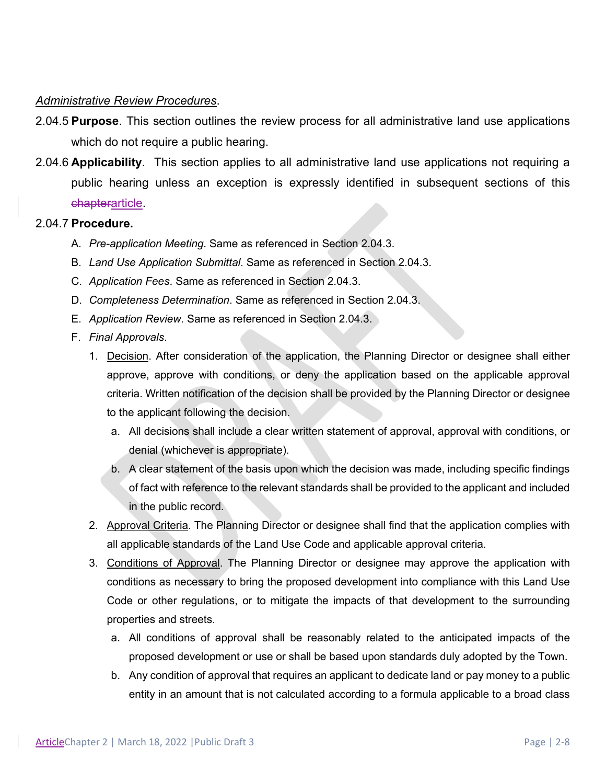### *Administrative Review Procedures*.

- 2.04.5 **Purpose**. This section outlines the review process for all administrative land use applications which do not require a public hearing.
- 2.04.6 **Applicability**. This section applies to all administrative land use applications not requiring a public hearing unless an exception is expressly identified in subsequent sections of this chapterarticle.

#### 2.04.7 **Procedure.**

- A. *Pre-application Meeting*. Same as referenced in Section 2.04.3.
- B. *Land Use Application Submittal*. Same as referenced in Section 2.04.3.
- C. *Application Fees*. Same as referenced in Section 2.04.3.
- D. *Completeness Determination*. Same as referenced in Section 2.04.3.
- E. *Application Review*. Same as referenced in Section 2.04.3.
- F. *Final Approvals*.
	- 1. Decision. After consideration of the application, the Planning Director or designee shall either approve, approve with conditions, or deny the application based on the applicable approval criteria. Written notification of the decision shall be provided by the Planning Director or designee to the applicant following the decision.
		- a. All decisions shall include a clear written statement of approval, approval with conditions, or denial (whichever is appropriate).
		- b. A clear statement of the basis upon which the decision was made, including specific findings of fact with reference to the relevant standards shall be provided to the applicant and included in the public record.
	- 2. Approval Criteria. The Planning Director or designee shall find that the application complies with all applicable standards of the Land Use Code and applicable approval criteria.
	- 3. Conditions of Approval. The Planning Director or designee may approve the application with conditions as necessary to bring the proposed development into compliance with this Land Use Code or other regulations, or to mitigate the impacts of that development to the surrounding properties and streets.
		- a. All conditions of approval shall be reasonably related to the anticipated impacts of the proposed development or use or shall be based upon standards duly adopted by the Town.
		- b. Any condition of approval that requires an applicant to dedicate land or pay money to a public entity in an amount that is not calculated according to a formula applicable to a broad class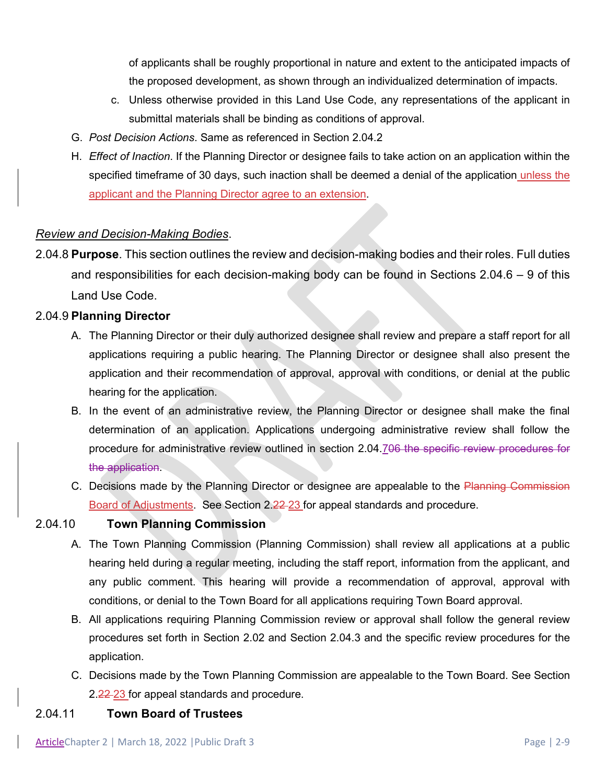of applicants shall be roughly proportional in nature and extent to the anticipated impacts of the proposed development, as shown through an individualized determination of impacts.

- c. Unless otherwise provided in this Land Use Code, any representations of the applicant in submittal materials shall be binding as conditions of approval.
- G. *Post Decision Actions*. Same as referenced in Section 2.04.2
- H. *Effect of Inaction*. If the Planning Director or designee fails to take action on an application within the specified timeframe of 30 days, such inaction shall be deemed a denial of the application unless the applicant and the Planning Director agree to an extension.

### *Review and Decision-Making Bodies*.

2.04.8 **Purpose**. This section outlines the review and decision-making bodies and their roles. Full duties and responsibilities for each decision-making body can be found in Sections 2.04.6 – 9 of this Land Use Code.

#### 2.04.9 **Planning Director**

- A. The Planning Director or their duly authorized designee shall review and prepare a staff report for all applications requiring a public hearing. The Planning Director or designee shall also present the application and their recommendation of approval, approval with conditions, or denial at the public hearing for the application.
- B. In the event of an administrative review, the Planning Director or designee shall make the final determination of an application. Applications undergoing administrative review shall follow the procedure for administrative review outlined in section 2.04.706 the specific review procedures for the application.
- C. Decisions made by the Planning Director or designee are appealable to the Planning Commission Board of Adjustments. See Section 2.22 23 for appeal standards and procedure.

### 2.04.10 **Town Planning Commission**

- A. The Town Planning Commission (Planning Commission) shall review all applications at a public hearing held during a regular meeting, including the staff report, information from the applicant, and any public comment. This hearing will provide a recommendation of approval, approval with conditions, or denial to the Town Board for all applications requiring Town Board approval.
- B. All applications requiring Planning Commission review or approval shall follow the general review procedures set forth in Section 2.02 and Section 2.04.3 and the specific review procedures for the application.
- C. Decisions made by the Town Planning Commission are appealable to the Town Board. See Section 2.22-23 for appeal standards and procedure.

#### 2.04.11 **Town Board of Trustees**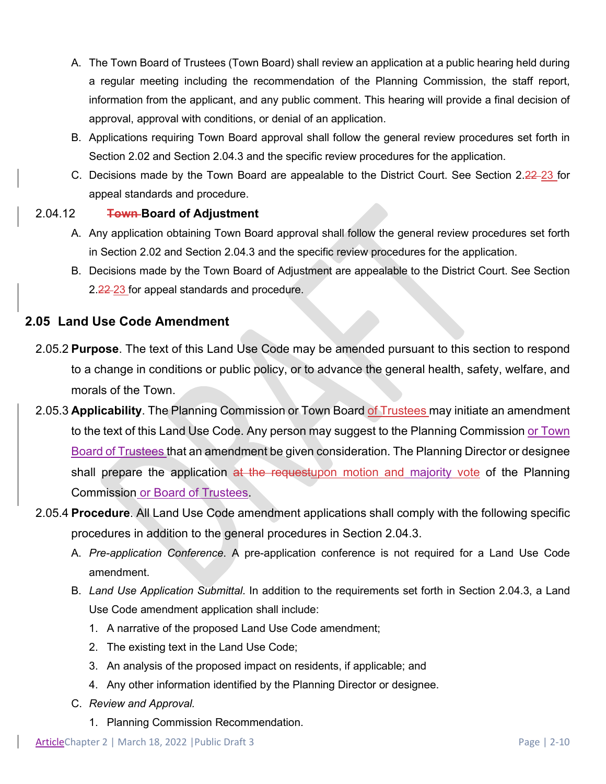- A. The Town Board of Trustees (Town Board) shall review an application at a public hearing held during a regular meeting including the recommendation of the Planning Commission, the staff report, information from the applicant, and any public comment. This hearing will provide a final decision of approval, approval with conditions, or denial of an application.
- B. Applications requiring Town Board approval shall follow the general review procedures set forth in Section 2.02 and Section 2.04.3 and the specific review procedures for the application.
- C. Decisions made by the Town Board are appealable to the District Court. See Section 2.22-23 for appeal standards and procedure.

### 2.04.12 **Town Board of Adjustment**

- A. Any application obtaining Town Board approval shall follow the general review procedures set forth in Section 2.02 and Section 2.04.3 and the specific review procedures for the application.
- B. Decisions made by the Town Board of Adjustment are appealable to the District Court. See Section 2.22-23 for appeal standards and procedure.

### **2.05 Land Use Code Amendment**

- 2.05.2 **Purpose**. The text of this Land Use Code may be amended pursuant to this section to respond to a change in conditions or public policy, or to advance the general health, safety, welfare, and morals of the Town.
- 2.05.3 **Applicability**. The Planning Commission or Town Board of Trustees may initiate an amendment to the text of this Land Use Code. Any person may suggest to the Planning Commission or Town Board of Trustees that an amendment be given consideration. The Planning Director or designee shall prepare the application at the requestupon motion and majority vote of the Planning Commission or Board of Trustees.
- 2.05.4 **Procedure**. All Land Use Code amendment applications shall comply with the following specific procedures in addition to the general procedures in Section 2.04.3.
	- A. *Pre-application Conference*. A pre-application conference is not required for a Land Use Code amendment.
	- B. *Land Use Application Submittal*. In addition to the requirements set forth in Section 2.04.3, a Land Use Code amendment application shall include:
		- 1. A narrative of the proposed Land Use Code amendment;
		- 2. The existing text in the Land Use Code;
		- 3. An analysis of the proposed impact on residents, if applicable; and
		- 4. Any other information identified by the Planning Director or designee.
	- C. *Review and Approval.*
		- 1. Planning Commission Recommendation.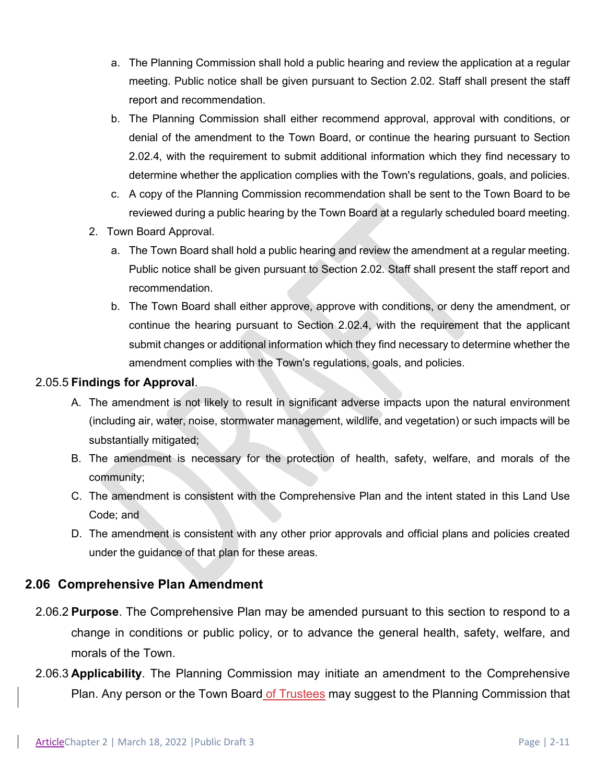- a. The Planning Commission shall hold a public hearing and review the application at a regular meeting. Public notice shall be given pursuant to Section 2.02. Staff shall present the staff report and recommendation.
- b. The Planning Commission shall either recommend approval, approval with conditions, or denial of the amendment to the Town Board, or continue the hearing pursuant to Section 2.02.4, with the requirement to submit additional information which they find necessary to determine whether the application complies with the Town's regulations, goals, and policies.
- c. A copy of the Planning Commission recommendation shall be sent to the Town Board to be reviewed during a public hearing by the Town Board at a regularly scheduled board meeting.
- 2. Town Board Approval.
	- a. The Town Board shall hold a public hearing and review the amendment at a regular meeting. Public notice shall be given pursuant to Section 2.02. Staff shall present the staff report and recommendation.
	- b. The Town Board shall either approve, approve with conditions, or deny the amendment, or continue the hearing pursuant to Section 2.02.4, with the requirement that the applicant submit changes or additional information which they find necessary to determine whether the amendment complies with the Town's regulations, goals, and policies.

### 2.05.5 **Findings for Approval**.

- A. The amendment is not likely to result in significant adverse impacts upon the natural environment (including air, water, noise, stormwater management, wildlife, and vegetation) or such impacts will be substantially mitigated;
- B. The amendment is necessary for the protection of health, safety, welfare, and morals of the community;
- C. The amendment is consistent with the Comprehensive Plan and the intent stated in this Land Use Code; and
- D. The amendment is consistent with any other prior approvals and official plans and policies created under the guidance of that plan for these areas.

# **2.06 Comprehensive Plan Amendment**

- 2.06.2 **Purpose**. The Comprehensive Plan may be amended pursuant to this section to respond to a change in conditions or public policy, or to advance the general health, safety, welfare, and morals of the Town.
- 2.06.3 **Applicability**. The Planning Commission may initiate an amendment to the Comprehensive Plan. Any person or the Town Board of Trustees may suggest to the Planning Commission that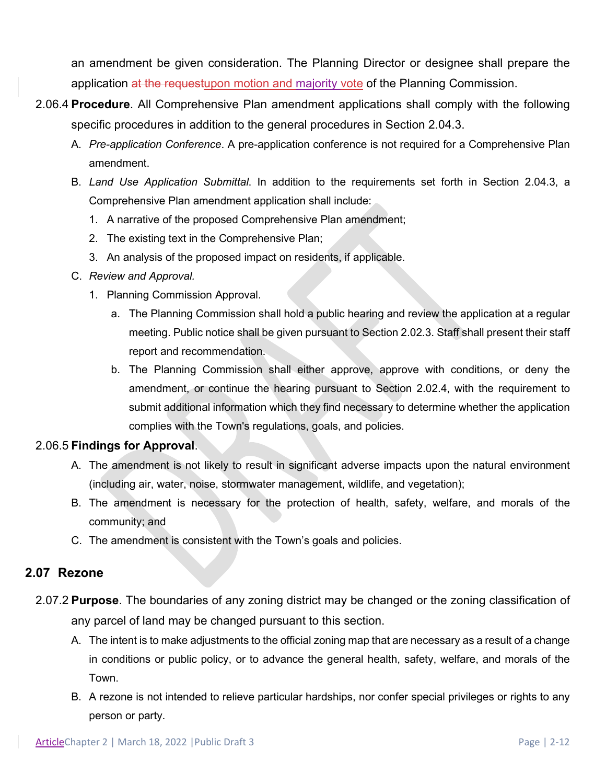an amendment be given consideration. The Planning Director or designee shall prepare the application at the requestupon motion and majority vote of the Planning Commission.

- 2.06.4 **Procedure**. All Comprehensive Plan amendment applications shall comply with the following specific procedures in addition to the general procedures in Section 2.04.3.
	- A. *Pre-application Conference*. A pre-application conference is not required for a Comprehensive Plan amendment.
	- B. *Land Use Application Submittal*. In addition to the requirements set forth in Section 2.04.3, a Comprehensive Plan amendment application shall include:
		- 1. A narrative of the proposed Comprehensive Plan amendment;
		- 2. The existing text in the Comprehensive Plan;
		- 3. An analysis of the proposed impact on residents, if applicable.
	- C. *Review and Approval.*
		- 1. Planning Commission Approval.
			- a. The Planning Commission shall hold a public hearing and review the application at a regular meeting. Public notice shall be given pursuant to Section 2.02.3. Staff shall present their staff report and recommendation.
			- b. The Planning Commission shall either approve, approve with conditions, or deny the amendment, or continue the hearing pursuant to Section 2.02.4, with the requirement to submit additional information which they find necessary to determine whether the application complies with the Town's regulations, goals, and policies.

### 2.06.5 **Findings for Approval**.

- A. The amendment is not likely to result in significant adverse impacts upon the natural environment (including air, water, noise, stormwater management, wildlife, and vegetation);
- B. The amendment is necessary for the protection of health, safety, welfare, and morals of the community; and
- C. The amendment is consistent with the Town's goals and policies.

### **2.07 Rezone**

- 2.07.2 **Purpose**. The boundaries of any zoning district may be changed or the zoning classification of any parcel of land may be changed pursuant to this section.
	- A. The intent is to make adjustments to the official zoning map that are necessary as a result of a change in conditions or public policy, or to advance the general health, safety, welfare, and morals of the Town.
	- B. A rezone is not intended to relieve particular hardships, nor confer special privileges or rights to any person or party.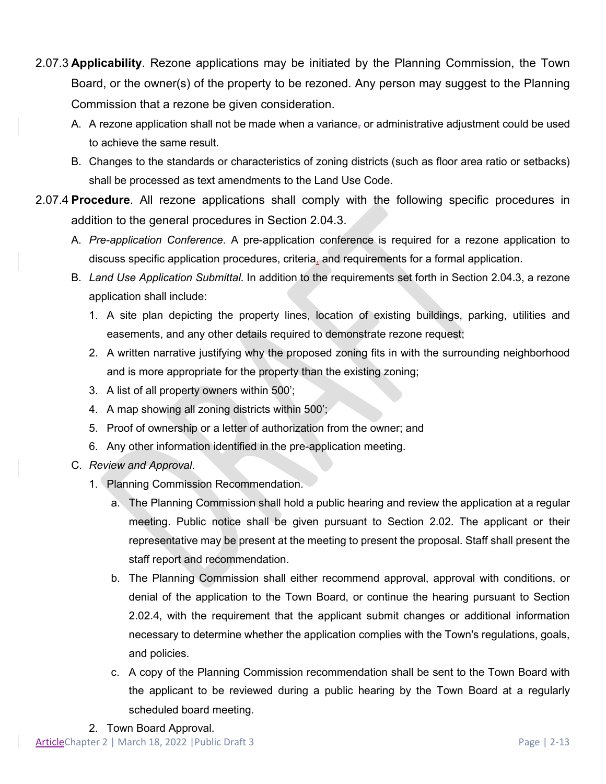- 2.07.3 **Applicability**. Rezone applications may be initiated by the Planning Commission, the Town Board, or the owner(s) of the property to be rezoned. Any person may suggest to the Planning Commission that a rezone be given consideration.
	- A. A rezone application shall not be made when a variance, or administrative adjustment could be used to achieve the same result.
	- B. Changes to the standards or characteristics of zoning districts (such as floor area ratio or setbacks) shall be processed as text amendments to the Land Use Code.
- 2.07.4 **Procedure**. All rezone applications shall comply with the following specific procedures in addition to the general procedures in Section 2.04.3.
	- A. *Pre-application Conference*. A pre-application conference is required for a rezone application to discuss specific application procedures, criteria, and requirements for a formal application.
	- B. *Land Use Application Submittal*. In addition to the requirements set forth in Section 2.04.3, a rezone application shall include:
		- 1. A site plan depicting the property lines, location of existing buildings, parking, utilities and easements, and any other details required to demonstrate rezone request;
		- 2. A written narrative justifying why the proposed zoning fits in with the surrounding neighborhood and is more appropriate for the property than the existing zoning;
		- 3. A list of all property owners within 500';
		- 4. A map showing all zoning districts within 500';
		- 5. Proof of ownership or a letter of authorization from the owner; and
		- 6. Any other information identified in the pre-application meeting.
	- C. *Review and Approval*.
		- 1. Planning Commission Recommendation.
			- a. The Planning Commission shall hold a public hearing and review the application at a regular meeting. Public notice shall be given pursuant to Section 2.02. The applicant or their representative may be present at the meeting to present the proposal. Staff shall present the staff report and recommendation.
			- b. The Planning Commission shall either recommend approval, approval with conditions, or denial of the application to the Town Board, or continue the hearing pursuant to Section 2.02.4, with the requirement that the applicant submit changes or additional information necessary to determine whether the application complies with the Town's regulations, goals, and policies.
			- c. A copy of the Planning Commission recommendation shall be sent to the Town Board with the applicant to be reviewed during a public hearing by the Town Board at a regularly scheduled board meeting.
		- 2. Town Board Approval.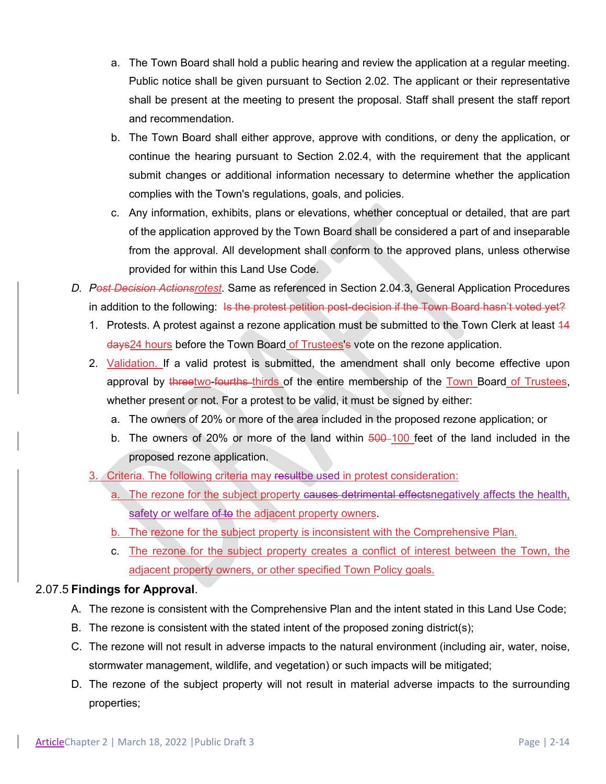- a. The Town Board shall hold a public hearing and review the application at a regular meeting. Public notice shall be given pursuant to Section 2.02. The applicant or their representative shall be present at the meeting to present the proposal. Staff shall present the staff report and recommendation.
- b. The Town Board shall either approve, approve with conditions, or deny the application, or continue the hearing pursuant to Section 2.02.4, with the requirement that the applicant submit changes or additional information necessary to determine whether the application complies with the Town's regulations, goals, and policies.
- c. Any information, exhibits, plans or elevations, whether conceptual or detailed, that are part of the application approved by the Town Board shall be considered a part of and inseparable from the approval. All development shall conform to the approved plans, unless otherwise provided for within this Land Use Code.
- *D. Post Decision Actionsrotest.* Same as referenced in Section 2.04.3, General Application Procedures in addition to the following: Is the protest petition post-decision if the Town Board hasn't voted yet?
	- 1. Protests. A protest against a rezone application must be submitted to the Town Clerk at least 44 days24 hours before the Town Board of Trustees's vote on the rezone application.
	- 2. Validation. If a valid protest is submitted, the amendment shall only become effective upon approval by threetwo-fourths thirds of the entire membership of the Town Board of Trustees, whether present or not. For a protest to be valid, it must be signed by either:
		- a. The owners of 20% or more of the area included in the proposed rezone application; or
		- b. The owners of 20% or more of the land within 500-100 feet of the land included in the proposed rezone application.
	- 3. Criteria. The following criteria may resultbe used in protest consideration:
		- a. The rezone for the subject property causes detrimental effectsnegatively affects the health, safety or welfare of to the adjacent property owners.
		- b. The rezone for the subject property is inconsistent with the Comprehensive Plan.
		- c. The rezone for the subject property creates a conflict of interest between the Town, the adjacent property owners, or other specified Town Policy goals.

### 2.07.5 **Findings for Approval**.

- A. The rezone is consistent with the Comprehensive Plan and the intent stated in this Land Use Code;
- B. The rezone is consistent with the stated intent of the proposed zoning district(s);
- C. The rezone will not result in adverse impacts to the natural environment (including air, water, noise, stormwater management, wildlife, and vegetation) or such impacts will be mitigated;
- D. The rezone of the subject property will not result in material adverse impacts to the surrounding properties;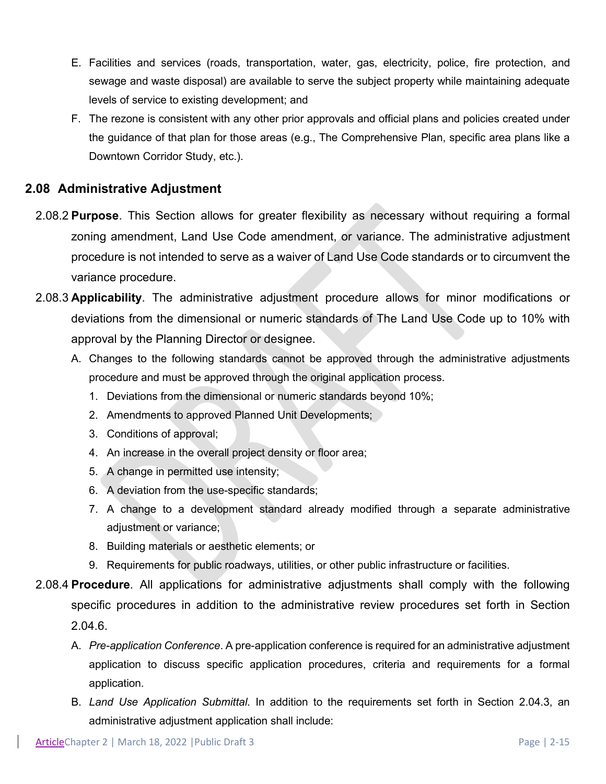- E. Facilities and services (roads, transportation, water, gas, electricity, police, fire protection, and sewage and waste disposal) are available to serve the subject property while maintaining adequate levels of service to existing development; and
- F. The rezone is consistent with any other prior approvals and official plans and policies created under the guidance of that plan for those areas (e.g., The Comprehensive Plan, specific area plans like a Downtown Corridor Study, etc.).

### **2.08 Administrative Adjustment**

- 2.08.2 **Purpose**. This Section allows for greater flexibility as necessary without requiring a formal zoning amendment, Land Use Code amendment, or variance. The administrative adjustment procedure is not intended to serve as a waiver of Land Use Code standards or to circumvent the variance procedure.
- 2.08.3 **Applicability**. The administrative adjustment procedure allows for minor modifications or deviations from the dimensional or numeric standards of The Land Use Code up to 10% with approval by the Planning Director or designee.
	- A. Changes to the following standards cannot be approved through the administrative adjustments procedure and must be approved through the original application process.
		- 1. Deviations from the dimensional or numeric standards beyond 10%;
		- 2. Amendments to approved Planned Unit Developments;
		- 3. Conditions of approval;
		- 4. An increase in the overall project density or floor area;
		- 5. A change in permitted use intensity;
		- 6. A deviation from the use-specific standards;
		- 7. A change to a development standard already modified through a separate administrative adjustment or variance;
		- 8. Building materials or aesthetic elements; or
		- 9. Requirements for public roadways, utilities, or other public infrastructure or facilities.
- 2.08.4 **Procedure**. All applications for administrative adjustments shall comply with the following specific procedures in addition to the administrative review procedures set forth in Section 2.04.6.
	- A. *Pre-application Conference*. A pre-application conference is required for an administrative adjustment application to discuss specific application procedures, criteria and requirements for a formal application.
	- B. *Land Use Application Submittal*. In addition to the requirements set forth in Section 2.04.3, an administrative adjustment application shall include: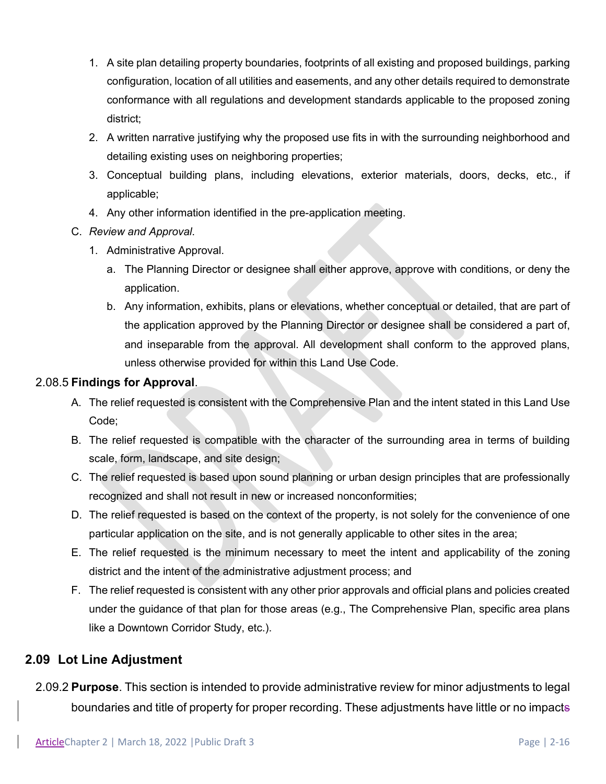- 1. A site plan detailing property boundaries, footprints of all existing and proposed buildings, parking configuration, location of all utilities and easements, and any other details required to demonstrate conformance with all regulations and development standards applicable to the proposed zoning district;
- 2. A written narrative justifying why the proposed use fits in with the surrounding neighborhood and detailing existing uses on neighboring properties;
- 3. Conceptual building plans, including elevations, exterior materials, doors, decks, etc., if applicable;
- 4. Any other information identified in the pre-application meeting.
- C. *Review and Approval*.
	- 1. Administrative Approval.
		- a. The Planning Director or designee shall either approve, approve with conditions, or deny the application.
		- b. Any information, exhibits, plans or elevations, whether conceptual or detailed, that are part of the application approved by the Planning Director or designee shall be considered a part of, and inseparable from the approval. All development shall conform to the approved plans, unless otherwise provided for within this Land Use Code.

### 2.08.5 **Findings for Approval**.

- A. The relief requested is consistent with the Comprehensive Plan and the intent stated in this Land Use Code;
- B. The relief requested is compatible with the character of the surrounding area in terms of building scale, form, landscape, and site design;
- C. The relief requested is based upon sound planning or urban design principles that are professionally recognized and shall not result in new or increased nonconformities;
- D. The relief requested is based on the context of the property, is not solely for the convenience of one particular application on the site, and is not generally applicable to other sites in the area;
- E. The relief requested is the minimum necessary to meet the intent and applicability of the zoning district and the intent of the administrative adjustment process; and
- F. The relief requested is consistent with any other prior approvals and official plans and policies created under the guidance of that plan for those areas (e.g., The Comprehensive Plan, specific area plans like a Downtown Corridor Study, etc.).

# **2.09 Lot Line Adjustment**

2.09.2 **Purpose**. This section is intended to provide administrative review for minor adjustments to legal boundaries and title of property for proper recording. These adjustments have little or no impacts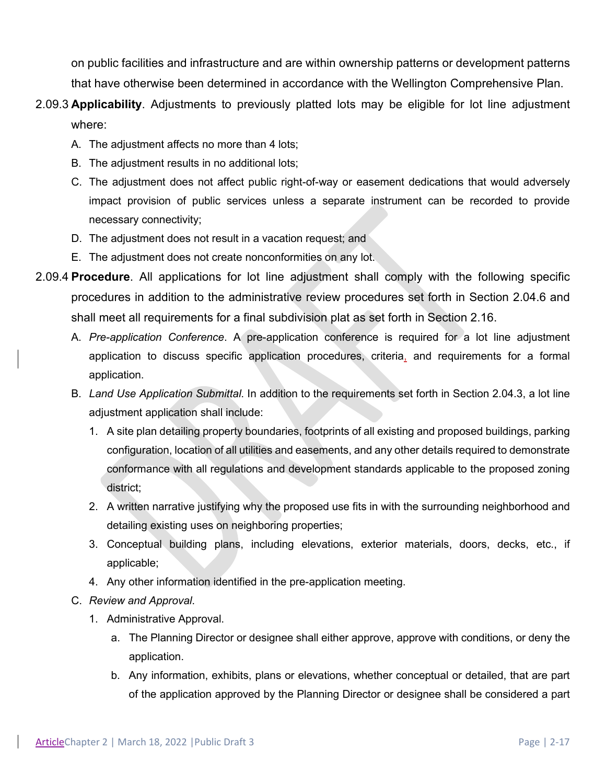on public facilities and infrastructure and are within ownership patterns or development patterns that have otherwise been determined in accordance with the Wellington Comprehensive Plan.

- 2.09.3 **Applicability**. Adjustments to previously platted lots may be eligible for lot line adjustment where:
	- A. The adjustment affects no more than 4 lots;
	- B. The adjustment results in no additional lots;
	- C. The adjustment does not affect public right-of-way or easement dedications that would adversely impact provision of public services unless a separate instrument can be recorded to provide necessary connectivity;
	- D. The adjustment does not result in a vacation request; and
	- E. The adjustment does not create nonconformities on any lot.
- 2.09.4 **Procedure**. All applications for lot line adjustment shall comply with the following specific procedures in addition to the administrative review procedures set forth in Section 2.04.6 and shall meet all requirements for a final subdivision plat as set forth in Section 2.16.
	- A. *Pre-application Conference*. A pre-application conference is required for a lot line adjustment application to discuss specific application procedures, criteria, and requirements for a formal application.
	- B. *Land Use Application Submittal*. In addition to the requirements set forth in Section 2.04.3, a lot line adjustment application shall include:
		- 1. A site plan detailing property boundaries, footprints of all existing and proposed buildings, parking configuration, location of all utilities and easements, and any other details required to demonstrate conformance with all regulations and development standards applicable to the proposed zoning district;
		- 2. A written narrative justifying why the proposed use fits in with the surrounding neighborhood and detailing existing uses on neighboring properties;
		- 3. Conceptual building plans, including elevations, exterior materials, doors, decks, etc., if applicable;
		- 4. Any other information identified in the pre-application meeting.
	- C. *Review and Approval*.
		- 1. Administrative Approval.
			- a. The Planning Director or designee shall either approve, approve with conditions, or deny the application.
			- b. Any information, exhibits, plans or elevations, whether conceptual or detailed, that are part of the application approved by the Planning Director or designee shall be considered a part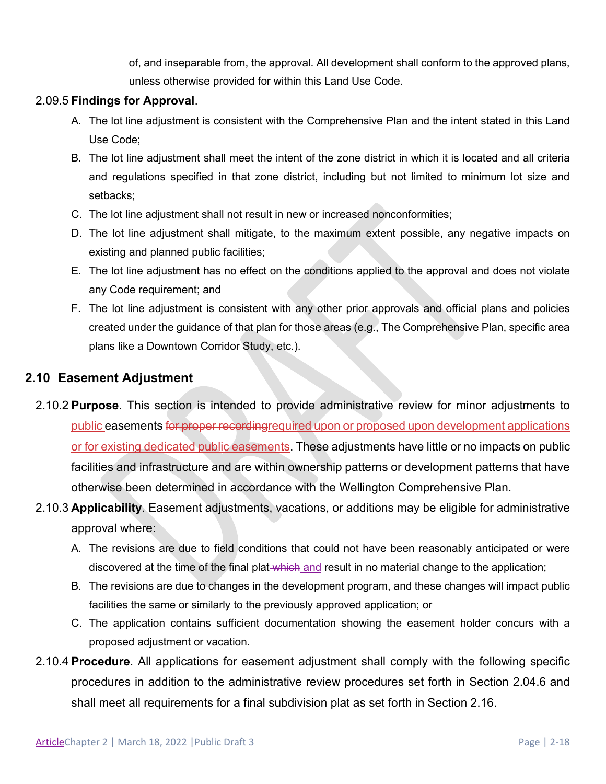of, and inseparable from, the approval. All development shall conform to the approved plans, unless otherwise provided for within this Land Use Code.

### 2.09.5 **Findings for Approval**.

- A. The lot line adjustment is consistent with the Comprehensive Plan and the intent stated in this Land Use Code;
- B. The lot line adjustment shall meet the intent of the zone district in which it is located and all criteria and regulations specified in that zone district, including but not limited to minimum lot size and setbacks;
- C. The lot line adjustment shall not result in new or increased nonconformities;
- D. The lot line adjustment shall mitigate, to the maximum extent possible, any negative impacts on existing and planned public facilities;
- E. The lot line adjustment has no effect on the conditions applied to the approval and does not violate any Code requirement; and
- F. The lot line adjustment is consistent with any other prior approvals and official plans and policies created under the guidance of that plan for those areas (e.g., The Comprehensive Plan, specific area plans like a Downtown Corridor Study, etc.).

### **2.10 Easement Adjustment**

- 2.10.2 **Purpose**. This section is intended to provide administrative review for minor adjustments to public easements for proper recordingrequired upon or proposed upon development applications or for existing dedicated public easements. These adjustments have little or no impacts on public facilities and infrastructure and are within ownership patterns or development patterns that have otherwise been determined in accordance with the Wellington Comprehensive Plan.
- 2.10.3 **Applicability**. Easement adjustments, vacations, or additions may be eligible for administrative approval where:
	- A. The revisions are due to field conditions that could not have been reasonably anticipated or were discovered at the time of the final plat-which and result in no material change to the application;
	- B. The revisions are due to changes in the development program, and these changes will impact public facilities the same or similarly to the previously approved application; or
	- C. The application contains sufficient documentation showing the easement holder concurs with a proposed adjustment or vacation.
- 2.10.4 **Procedure**. All applications for easement adjustment shall comply with the following specific procedures in addition to the administrative review procedures set forth in Section 2.04.6 and shall meet all requirements for a final subdivision plat as set forth in Section 2.16.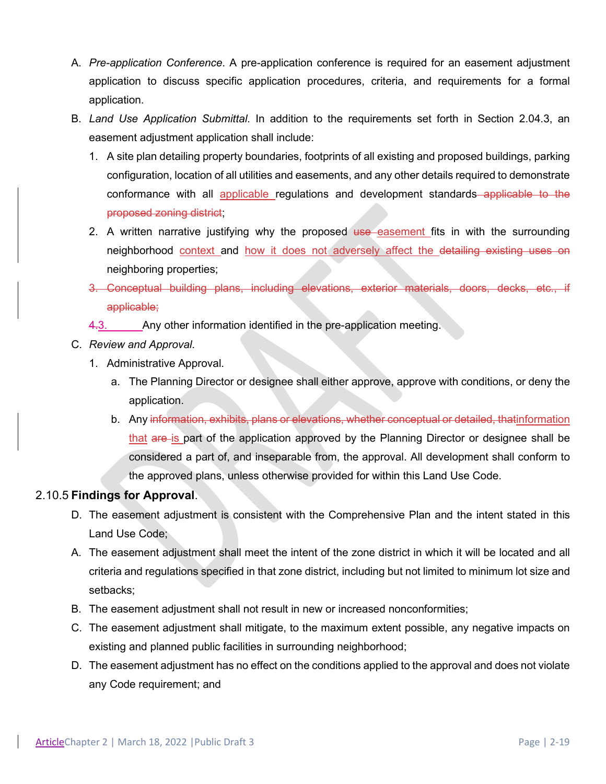- A. *Pre-application Conference*. A pre-application conference is required for an easement adjustment application to discuss specific application procedures, criteria, and requirements for a formal application.
- B. *Land Use Application Submittal*. In addition to the requirements set forth in Section 2.04.3, an easement adjustment application shall include:
	- 1. A site plan detailing property boundaries, footprints of all existing and proposed buildings, parking configuration, location of all utilities and easements, and any other details required to demonstrate conformance with all applicable regulations and development standards applicable to the proposed zoning district;
	- 2. A written narrative justifying why the proposed use easement fits in with the surrounding neighborhood context and how it does not adversely affect the detailing existing uses on neighboring properties;
	- 3. Conceptual building plans, including elevations, exterior materials, doors, decks, etc., if applicable;
	- 4.3. Any other information identified in the pre-application meeting.
- C. *Review and Approval*.
	- 1. Administrative Approval.
		- a. The Planning Director or designee shall either approve, approve with conditions, or deny the application.
		- b. Any information, exhibits, plans or elevations, whether conceptual or detailed, thatinformation that are is part of the application approved by the Planning Director or designee shall be considered a part of, and inseparable from, the approval. All development shall conform to the approved plans, unless otherwise provided for within this Land Use Code.

### 2.10.5 **Findings for Approval**.

- D. The easement adjustment is consistent with the Comprehensive Plan and the intent stated in this Land Use Code;
- A. The easement adjustment shall meet the intent of the zone district in which it will be located and all criteria and regulations specified in that zone district, including but not limited to minimum lot size and setbacks;
- B. The easement adjustment shall not result in new or increased nonconformities;
- C. The easement adjustment shall mitigate, to the maximum extent possible, any negative impacts on existing and planned public facilities in surrounding neighborhood;
- D. The easement adjustment has no effect on the conditions applied to the approval and does not violate any Code requirement; and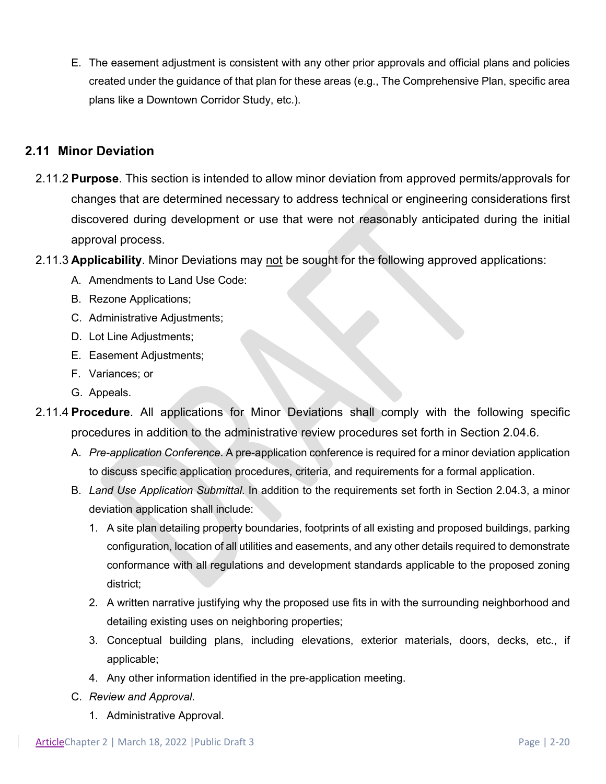E. The easement adjustment is consistent with any other prior approvals and official plans and policies created under the guidance of that plan for these areas (e.g., The Comprehensive Plan, specific area plans like a Downtown Corridor Study, etc.).

### **2.11 Minor Deviation**

- 2.11.2 **Purpose**. This section is intended to allow minor deviation from approved permits/approvals for changes that are determined necessary to address technical or engineering considerations first discovered during development or use that were not reasonably anticipated during the initial approval process.
- 2.11.3 **Applicability**. Minor Deviations may not be sought for the following approved applications:
	- A. Amendments to Land Use Code:
	- B. Rezone Applications;
	- C. Administrative Adjustments;
	- D. Lot Line Adjustments;
	- E. Easement Adjustments;
	- F. Variances; or
	- G. Appeals.
- 2.11.4 **Procedure**. All applications for Minor Deviations shall comply with the following specific procedures in addition to the administrative review procedures set forth in Section 2.04.6.
	- A. *Pre-application Conference*. A pre-application conference is required for a minor deviation application to discuss specific application procedures, criteria, and requirements for a formal application.
	- B. *Land Use Application Submittal*. In addition to the requirements set forth in Section 2.04.3, a minor deviation application shall include:
		- 1. A site plan detailing property boundaries, footprints of all existing and proposed buildings, parking configuration, location of all utilities and easements, and any other details required to demonstrate conformance with all regulations and development standards applicable to the proposed zoning district;
		- 2. A written narrative justifying why the proposed use fits in with the surrounding neighborhood and detailing existing uses on neighboring properties;
		- 3. Conceptual building plans, including elevations, exterior materials, doors, decks, etc., if applicable;
		- 4. Any other information identified in the pre-application meeting.
	- C. *Review and Approval*.
		- 1. Administrative Approval.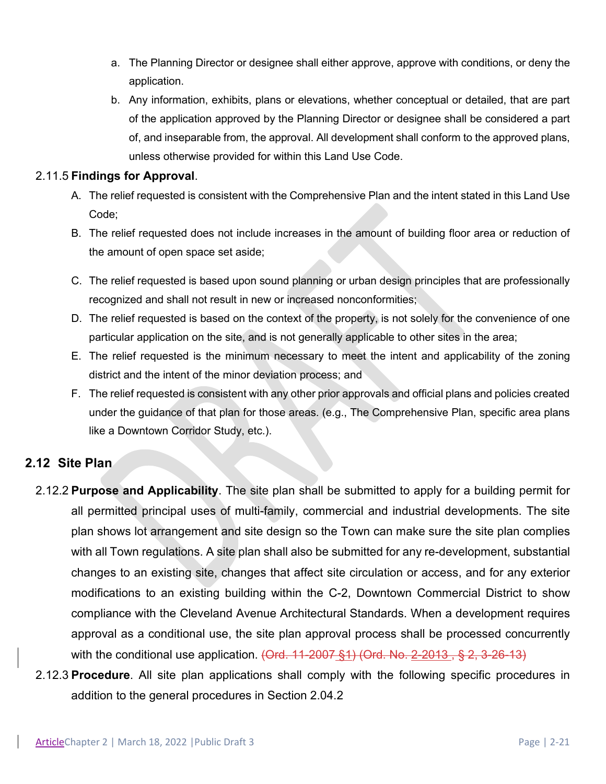- a. The Planning Director or designee shall either approve, approve with conditions, or deny the application.
- b. Any information, exhibits, plans or elevations, whether conceptual or detailed, that are part of the application approved by the Planning Director or designee shall be considered a part of, and inseparable from, the approval. All development shall conform to the approved plans, unless otherwise provided for within this Land Use Code.

#### 2.11.5 **Findings for Approval**.

- A. The relief requested is consistent with the Comprehensive Plan and the intent stated in this Land Use Code;
- B. The relief requested does not include increases in the amount of building floor area or reduction of the amount of open space set aside;
- C. The relief requested is based upon sound planning or urban design principles that are professionally recognized and shall not result in new or increased nonconformities;
- D. The relief requested is based on the context of the property, is not solely for the convenience of one particular application on the site, and is not generally applicable to other sites in the area;
- E. The relief requested is the minimum necessary to meet the intent and applicability of the zoning district and the intent of the minor deviation process; and
- F. The relief requested is consistent with any other prior approvals and official plans and policies created under the guidance of that plan for those areas. (e.g., The Comprehensive Plan, specific area plans like a Downtown Corridor Study, etc.).

### **2.12 Site Plan**

- 2.12.2 **Purpose and Applicability**. The site plan shall be submitted to apply for a building permit for all permitted principal uses of multi-family, commercial and industrial developments. The site plan shows lot arrangement and site design so the Town can make sure the site plan complies with all Town regulations. A site plan shall also be submitted for any re-development, substantial changes to an existing site, changes that affect site circulation or access, and for any exterior modifications to an existing building within the C-2, Downtown Commercial District to show compliance with the Cleveland Avenue Architectural Standards. When a development requires approval as a conditional use, the site plan approval process shall be processed concurrently with the conditional use application.  $(Qrd. 11-2007 \t{S}1)$  (Ord. No. 2-2013,  $\t{S}$  2, 3-26-13)
- 2.12.3 **Procedure**. All site plan applications shall comply with the following specific procedures in addition to the general procedures in Section 2.04.2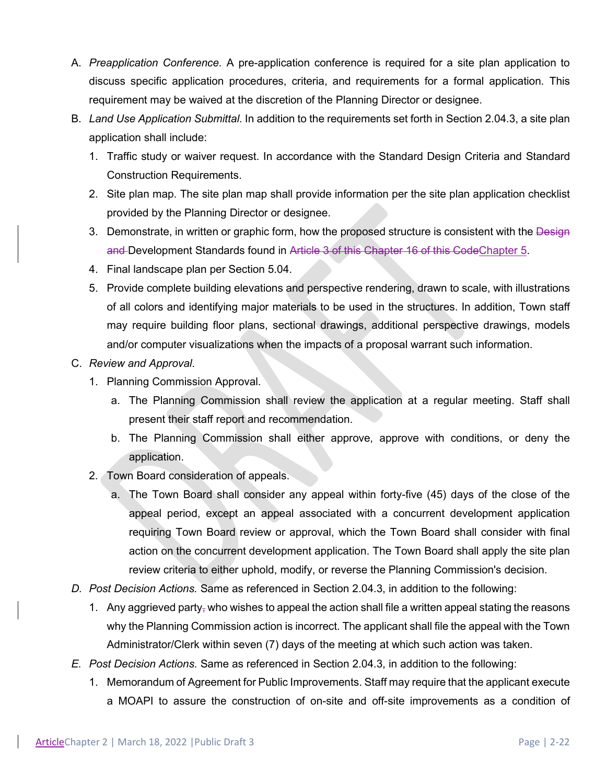- A. *Preapplication Conference.* A pre-application conference is required for a site plan application to discuss specific application procedures, criteria, and requirements for a formal application. This requirement may be waived at the discretion of the Planning Director or designee.
- B. *Land Use Application Submittal*. In addition to the requirements set forth in Section 2.04.3, a site plan application shall include:
	- 1. Traffic study or waiver request. In accordance with the Standard Design Criteria and Standard Construction Requirements.
	- 2. Site plan map. The site plan map shall provide information per the site plan application checklist provided by the Planning Director or designee.
	- 3. Demonstrate, in written or graphic form, how the proposed structure is consistent with the Design and Development Standards found in Article 3 of this Chapter 16 of this CodeChapter 5.
	- 4. Final landscape plan per Section 5.04.
	- 5. Provide complete building elevations and perspective rendering, drawn to scale, with illustrations of all colors and identifying major materials to be used in the structures. In addition, Town staff may require building floor plans, sectional drawings, additional perspective drawings, models and/or computer visualizations when the impacts of a proposal warrant such information.

#### C. *Review and Approval*.

- 1. Planning Commission Approval.
	- a. The Planning Commission shall review the application at a regular meeting. Staff shall present their staff report and recommendation.
	- b. The Planning Commission shall either approve, approve with conditions, or deny the application.
- 2. Town Board consideration of appeals.
	- a. The Town Board shall consider any appeal within forty-five (45) days of the close of the appeal period, except an appeal associated with a concurrent development application requiring Town Board review or approval, which the Town Board shall consider with final action on the concurrent development application. The Town Board shall apply the site plan review criteria to either uphold, modify, or reverse the Planning Commission's decision.
- *D. Post Decision Actions.* Same as referenced in Section 2.04.3, in addition to the following:
	- 1. Any aggrieved party<sub> $\tau$ </sub> who wishes to appeal the action shall file a written appeal stating the reasons why the Planning Commission action is incorrect. The applicant shall file the appeal with the Town Administrator/Clerk within seven (7) days of the meeting at which such action was taken.
- *E. Post Decision Actions.* Same as referenced in Section 2.04.3, in addition to the following:
	- 1. Memorandum of Agreement for Public Improvements. Staff may require that the applicant execute a MOAPI to assure the construction of on-site and off-site improvements as a condition of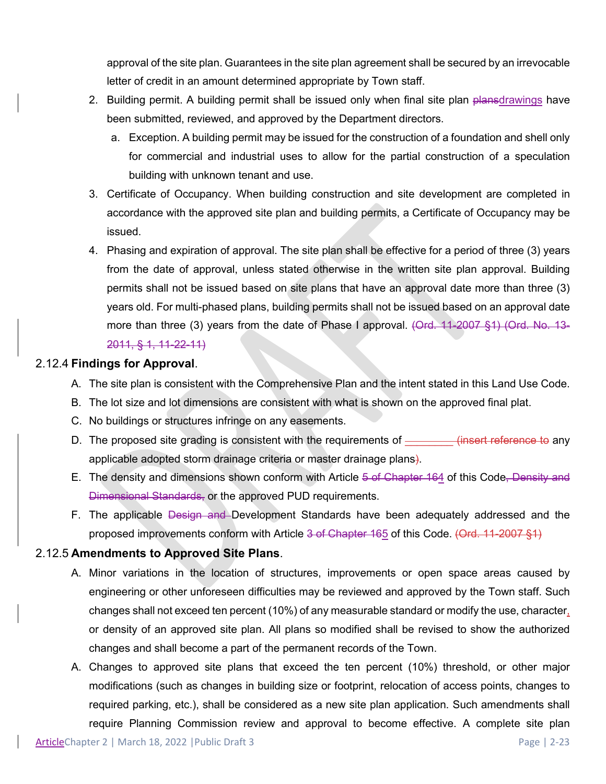approval of the site plan. Guarantees in the site plan agreement shall be secured by an irrevocable letter of credit in an amount determined appropriate by Town staff.

- 2. Building permit. A building permit shall be issued only when final site plan plansdrawings have been submitted, reviewed, and approved by the Department directors.
	- a. Exception. A building permit may be issued for the construction of a foundation and shell only for commercial and industrial uses to allow for the partial construction of a speculation building with unknown tenant and use.
- 3. Certificate of Occupancy. When building construction and site development are completed in accordance with the approved site plan and building permits, a Certificate of Occupancy may be issued.
- 4. Phasing and expiration of approval. The site plan shall be effective for a period of three (3) years from the date of approval, unless stated otherwise in the written site plan approval. Building permits shall not be issued based on site plans that have an approval date more than three (3) years old. For multi-phased plans, building permits shall not be issued based on an approval date more than three (3) years from the date of Phase I approval. (Ord. 11-2007 §1) (Ord. No. 13-2011, § 1, 11-22-11)

#### 2.12.4 **Findings for Approval**.

- A. The site plan is consistent with the Comprehensive Plan and the intent stated in this Land Use Code.
- B. The lot size and lot dimensions are consistent with what is shown on the approved final plat.
- C. No buildings or structures infringe on any easements.
- D. The proposed site grading is consistent with the requirements of \_\_\_\_\_\_\_\_ (insert reference to any applicable adopted storm drainage criteria or master drainage plans).
- E. The density and dimensions shown conform with Article 5 of Chapter 164 of this Code, Density and Dimensional Standards, or the approved PUD requirements.
- F. The applicable <del>Design and D</del>evelopment Standards have been adequately addressed and the proposed improvements conform with Article 3 of Chapter 165 of this Code. (Ord. 11-2007 §1)

### 2.12.5 **Amendments to Approved Site Plans**.

- A. Minor variations in the location of structures, improvements or open space areas caused by engineering or other unforeseen difficulties may be reviewed and approved by the Town staff. Such changes shall not exceed ten percent (10%) of any measurable standard or modify the use, character, or density of an approved site plan. All plans so modified shall be revised to show the authorized changes and shall become a part of the permanent records of the Town.
- A. Changes to approved site plans that exceed the ten percent (10%) threshold, or other major modifications (such as changes in building size or footprint, relocation of access points, changes to required parking, etc.), shall be considered as a new site plan application. Such amendments shall require Planning Commission review and approval to become effective. A complete site plan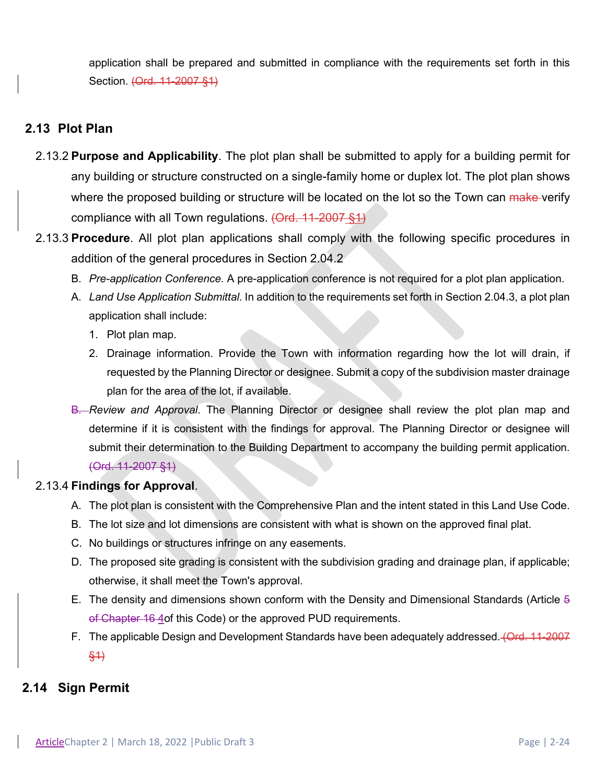application shall be prepared and submitted in compliance with the requirements set forth in this Section. (Ord. 11-2007 §1)

### **2.13 Plot Plan**

- 2.13.2 **Purpose and Applicability**. The plot plan shall be submitted to apply for a building permit for any building or structure constructed on a single-family home or duplex lot. The plot plan shows where the proposed building or structure will be located on the lot so the Town can make verify compliance with all Town regulations. (Ord. 11-2007 §1)
- 2.13.3 **Procedure**. All plot plan applications shall comply with the following specific procedures in addition of the general procedures in Section 2.04.2
	- B. *Pre-application Conference*. A pre-application conference is not required for a plot plan application.
	- A. *Land Use Application Submittal*. In addition to the requirements set forth in Section 2.04.3, a plot plan application shall include:
		- 1. Plot plan map.
		- 2. Drainage information. Provide the Town with information regarding how the lot will drain, if requested by the Planning Director or designee. Submit a copy of the subdivision master drainage plan for the area of the lot, if available.
	- B. *Review and Approval*. The Planning Director or designee shall review the plot plan map and determine if it is consistent with the findings for approval. The Planning Director or designee will submit their determination to the Building Department to accompany the building permit application. (Ord. 11-2007 §1)

### 2.13.4 **Findings for Approval**.

- A. The plot plan is consistent with the Comprehensive Plan and the intent stated in this Land Use Code.
- B. The lot size and lot dimensions are consistent with what is shown on the approved final plat.
- C. No buildings or structures infringe on any easements.
- D. The proposed site grading is consistent with the subdivision grading and drainage plan, if applicable; otherwise, it shall meet the Town's approval.
- E. The density and dimensions shown conform with the Density and Dimensional Standards (Article 5 of Chapter 16 4 of this Code) or the approved PUD requirements.
- F. The applicable Design and Development Standards have been adequately addressed. (Ord. 11-2007 §1)

### **2.14 Sign Permit**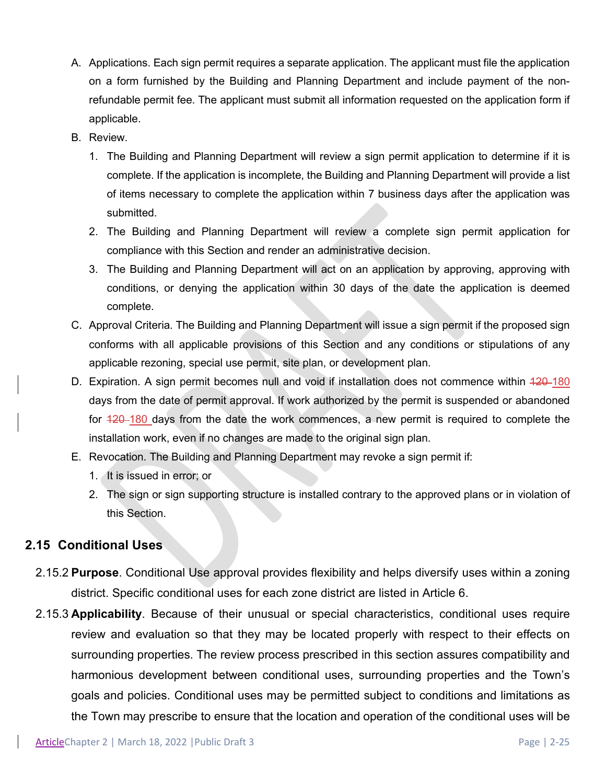- A. Applications. Each sign permit requires a separate application. The applicant must file the application on a form furnished by the Building and Planning Department and include payment of the nonrefundable permit fee. The applicant must submit all information requested on the application form if applicable.
- B. Review.
	- 1. The Building and Planning Department will review a sign permit application to determine if it is complete. If the application is incomplete, the Building and Planning Department will provide a list of items necessary to complete the application within 7 business days after the application was submitted.
	- 2. The Building and Planning Department will review a complete sign permit application for compliance with this Section and render an administrative decision.
	- 3. The Building and Planning Department will act on an application by approving, approving with conditions, or denying the application within 30 days of the date the application is deemed complete.
- C. Approval Criteria. The Building and Planning Department will issue a sign permit if the proposed sign conforms with all applicable provisions of this Section and any conditions or stipulations of any applicable rezoning, special use permit, site plan, or development plan.
- D. Expiration. A sign permit becomes null and void if installation does not commence within 420-180 days from the date of permit approval. If work authorized by the permit is suspended or abandoned for  $\frac{420-180}{20}$  days from the date the work commences, a new permit is required to complete the installation work, even if no changes are made to the original sign plan.
- E. Revocation. The Building and Planning Department may revoke a sign permit if:
	- 1. It is issued in error; or
	- 2. The sign or sign supporting structure is installed contrary to the approved plans or in violation of this Section.

### **2.15 Conditional Uses**

- 2.15.2 **Purpose**. Conditional Use approval provides flexibility and helps diversify uses within a zoning district. Specific conditional uses for each zone district are listed in Article 6.
- 2.15.3 **Applicability**. Because of their unusual or special characteristics, conditional uses require review and evaluation so that they may be located properly with respect to their effects on surrounding properties. The review process prescribed in this section assures compatibility and harmonious development between conditional uses, surrounding properties and the Town's goals and policies. Conditional uses may be permitted subject to conditions and limitations as the Town may prescribe to ensure that the location and operation of the conditional uses will be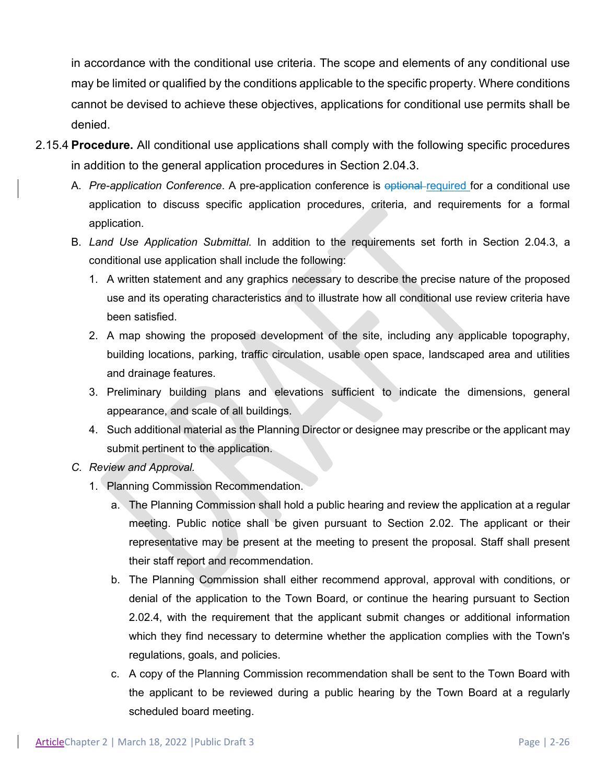in accordance with the conditional use criteria. The scope and elements of any conditional use may be limited or qualified by the conditions applicable to the specific property. Where conditions cannot be devised to achieve these objectives, applications for conditional use permits shall be denied.

- 2.15.4 **Procedure.** All conditional use applications shall comply with the following specific procedures in addition to the general application procedures in Section 2.04.3.
	- A. *Pre-application Conference*. A pre-application conference is optional required for a conditional use application to discuss specific application procedures, criteria, and requirements for a formal application.
	- B. *Land Use Application Submittal*. In addition to the requirements set forth in Section 2.04.3, a conditional use application shall include the following:
		- 1. A written statement and any graphics necessary to describe the precise nature of the proposed use and its operating characteristics and to illustrate how all conditional use review criteria have been satisfied.
		- 2. A map showing the proposed development of the site, including any applicable topography, building locations, parking, traffic circulation, usable open space, landscaped area and utilities and drainage features.
		- 3. Preliminary building plans and elevations sufficient to indicate the dimensions, general appearance, and scale of all buildings.
		- 4. Such additional material as the Planning Director or designee may prescribe or the applicant may submit pertinent to the application.
	- *C. Review and Approval.* 
		- 1. Planning Commission Recommendation.
			- a. The Planning Commission shall hold a public hearing and review the application at a regular meeting. Public notice shall be given pursuant to Section 2.02. The applicant or their representative may be present at the meeting to present the proposal. Staff shall present their staff report and recommendation.
			- b. The Planning Commission shall either recommend approval, approval with conditions, or denial of the application to the Town Board, or continue the hearing pursuant to Section 2.02.4, with the requirement that the applicant submit changes or additional information which they find necessary to determine whether the application complies with the Town's regulations, goals, and policies.
			- c. A copy of the Planning Commission recommendation shall be sent to the Town Board with the applicant to be reviewed during a public hearing by the Town Board at a regularly scheduled board meeting.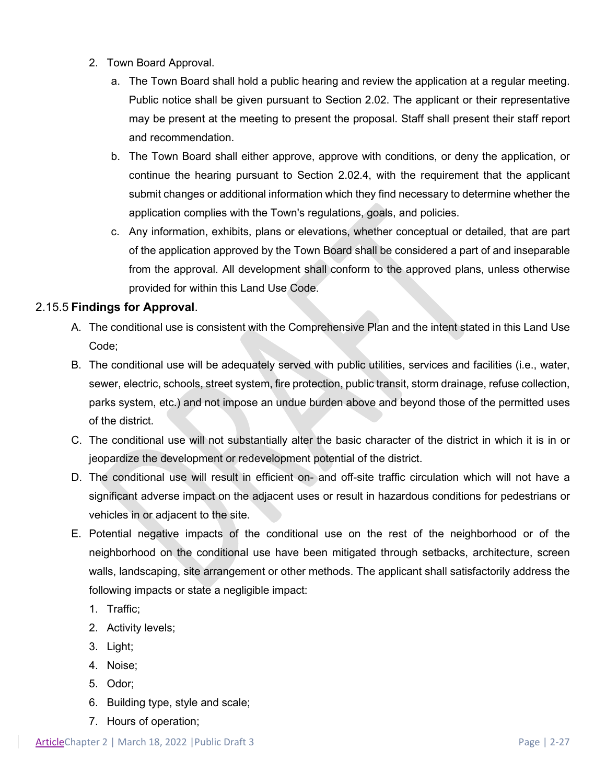- 2. Town Board Approval.
	- a. The Town Board shall hold a public hearing and review the application at a regular meeting. Public notice shall be given pursuant to Section 2.02. The applicant or their representative may be present at the meeting to present the proposal. Staff shall present their staff report and recommendation.
	- b. The Town Board shall either approve, approve with conditions, or deny the application, or continue the hearing pursuant to Section 2.02.4, with the requirement that the applicant submit changes or additional information which they find necessary to determine whether the application complies with the Town's regulations, goals, and policies.
	- c. Any information, exhibits, plans or elevations, whether conceptual or detailed, that are part of the application approved by the Town Board shall be considered a part of and inseparable from the approval. All development shall conform to the approved plans, unless otherwise provided for within this Land Use Code.

### 2.15.5 **Findings for Approval**.

- A. The conditional use is consistent with the Comprehensive Plan and the intent stated in this Land Use Code;
- B. The conditional use will be adequately served with public utilities, services and facilities (i.e., water, sewer, electric, schools, street system, fire protection, public transit, storm drainage, refuse collection, parks system, etc.) and not impose an undue burden above and beyond those of the permitted uses of the district.
- C. The conditional use will not substantially alter the basic character of the district in which it is in or jeopardize the development or redevelopment potential of the district.
- D. The conditional use will result in efficient on- and off-site traffic circulation which will not have a significant adverse impact on the adjacent uses or result in hazardous conditions for pedestrians or vehicles in or adjacent to the site.
- E. Potential negative impacts of the conditional use on the rest of the neighborhood or of the neighborhood on the conditional use have been mitigated through setbacks, architecture, screen walls, landscaping, site arrangement or other methods. The applicant shall satisfactorily address the following impacts or state a negligible impact:
	- 1. Traffic;
	- 2. Activity levels;
	- 3. Light;
	- 4. Noise;
	- 5. Odor;
	- 6. Building type, style and scale;
	- 7. Hours of operation;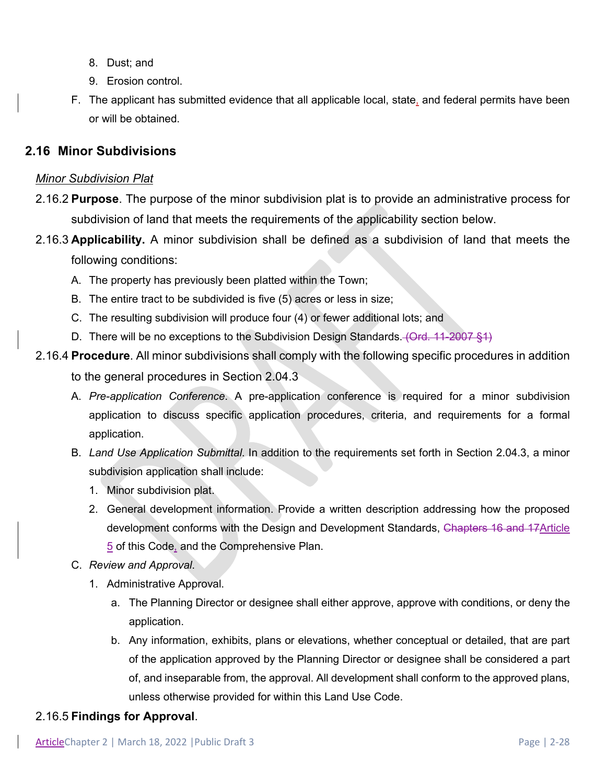- 8. Dust; and
- 9. Erosion control.
- F. The applicant has submitted evidence that all applicable local, state, and federal permits have been or will be obtained.

### **2.16 Minor Subdivisions**

#### *Minor Subdivision Plat*

- 2.16.2 **Purpose**. The purpose of the minor subdivision plat is to provide an administrative process for subdivision of land that meets the requirements of the applicability section below.
- 2.16.3 **Applicability.** A minor subdivision shall be defined as a subdivision of land that meets the following conditions:
	- A. The property has previously been platted within the Town;
	- B. The entire tract to be subdivided is five (5) acres or less in size;
	- C. The resulting subdivision will produce four (4) or fewer additional lots; and
	- D. There will be no exceptions to the Subdivision Design Standards. (Ord. 11-2007 §1)
- 2.16.4 **Procedure**. All minor subdivisions shall comply with the following specific procedures in addition

to the general procedures in Section 2.04.3

- A. *Pre-application Conference*. A pre-application conference is required for a minor subdivision application to discuss specific application procedures, criteria, and requirements for a formal application.
- B. *Land Use Application Submittal*. In addition to the requirements set forth in Section 2.04.3, a minor subdivision application shall include:
	- 1. Minor subdivision plat.
	- 2. General development information. Provide a written description addressing how the proposed development conforms with the Design and Development Standards, Chapters 16 and 17Article 5 of this Code, and the Comprehensive Plan.
- C. *Review and Approval*.
	- 1. Administrative Approval.
		- a. The Planning Director or designee shall either approve, approve with conditions, or deny the application.
		- b. Any information, exhibits, plans or elevations, whether conceptual or detailed, that are part of the application approved by the Planning Director or designee shall be considered a part of, and inseparable from, the approval. All development shall conform to the approved plans, unless otherwise provided for within this Land Use Code.

### 2.16.5 **Findings for Approval**.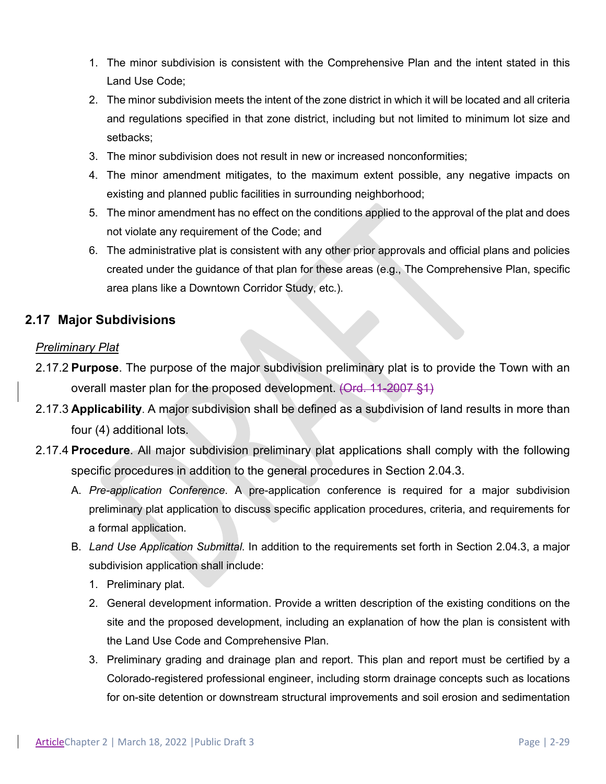- 1. The minor subdivision is consistent with the Comprehensive Plan and the intent stated in this Land Use Code;
- 2. The minor subdivision meets the intent of the zone district in which it will be located and all criteria and regulations specified in that zone district, including but not limited to minimum lot size and setbacks;
- 3. The minor subdivision does not result in new or increased nonconformities;
- 4. The minor amendment mitigates, to the maximum extent possible, any negative impacts on existing and planned public facilities in surrounding neighborhood;
- 5. The minor amendment has no effect on the conditions applied to the approval of the plat and does not violate any requirement of the Code; and
- 6. The administrative plat is consistent with any other prior approvals and official plans and policies created under the guidance of that plan for these areas (e.g., The Comprehensive Plan, specific area plans like a Downtown Corridor Study, etc.).

### **2.17 Major Subdivisions**

### *Preliminary Plat*

- 2.17.2 **Purpose**. The purpose of the major subdivision preliminary plat is to provide the Town with an overall master plan for the proposed development. (Ord. 11-2007 §1)
- 2.17.3 **Applicability**. A major subdivision shall be defined as a subdivision of land results in more than four (4) additional lots.
- 2.17.4 **Procedure**. All major subdivision preliminary plat applications shall comply with the following specific procedures in addition to the general procedures in Section 2.04.3.
	- A. *Pre-application Conference*. A pre-application conference is required for a major subdivision preliminary plat application to discuss specific application procedures, criteria, and requirements for a formal application.
	- B. *Land Use Application Submittal*. In addition to the requirements set forth in Section 2.04.3, a major subdivision application shall include:
		- 1. Preliminary plat.
		- 2. General development information. Provide a written description of the existing conditions on the site and the proposed development, including an explanation of how the plan is consistent with the Land Use Code and Comprehensive Plan.
		- 3. Preliminary grading and drainage plan and report. This plan and report must be certified by a Colorado-registered professional engineer, including storm drainage concepts such as locations for on-site detention or downstream structural improvements and soil erosion and sedimentation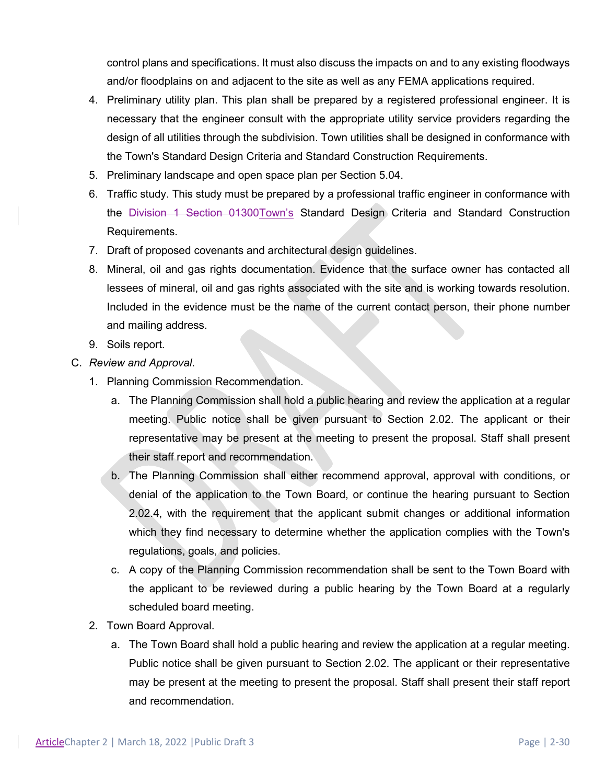control plans and specifications. It must also discuss the impacts on and to any existing floodways and/or floodplains on and adjacent to the site as well as any FEMA applications required.

- 4. Preliminary utility plan. This plan shall be prepared by a registered professional engineer. It is necessary that the engineer consult with the appropriate utility service providers regarding the design of all utilities through the subdivision. Town utilities shall be designed in conformance with the Town's Standard Design Criteria and Standard Construction Requirements.
- 5. Preliminary landscape and open space plan per Section 5.04.
- 6. Traffic study. This study must be prepared by a professional traffic engineer in conformance with the Division 1 Section 01300Town's Standard Design Criteria and Standard Construction Requirements.
- 7. Draft of proposed covenants and architectural design guidelines.
- 8. Mineral, oil and gas rights documentation. Evidence that the surface owner has contacted all lessees of mineral, oil and gas rights associated with the site and is working towards resolution. Included in the evidence must be the name of the current contact person, their phone number and mailing address.
- 9. Soils report.
- C. *Review and Approval*.
	- 1. Planning Commission Recommendation.
		- a. The Planning Commission shall hold a public hearing and review the application at a regular meeting. Public notice shall be given pursuant to Section 2.02. The applicant or their representative may be present at the meeting to present the proposal. Staff shall present their staff report and recommendation.
		- b. The Planning Commission shall either recommend approval, approval with conditions, or denial of the application to the Town Board, or continue the hearing pursuant to Section 2.02.4, with the requirement that the applicant submit changes or additional information which they find necessary to determine whether the application complies with the Town's regulations, goals, and policies.
		- c. A copy of the Planning Commission recommendation shall be sent to the Town Board with the applicant to be reviewed during a public hearing by the Town Board at a regularly scheduled board meeting.
	- 2. Town Board Approval.
		- a. The Town Board shall hold a public hearing and review the application at a regular meeting. Public notice shall be given pursuant to Section 2.02. The applicant or their representative may be present at the meeting to present the proposal. Staff shall present their staff report and recommendation.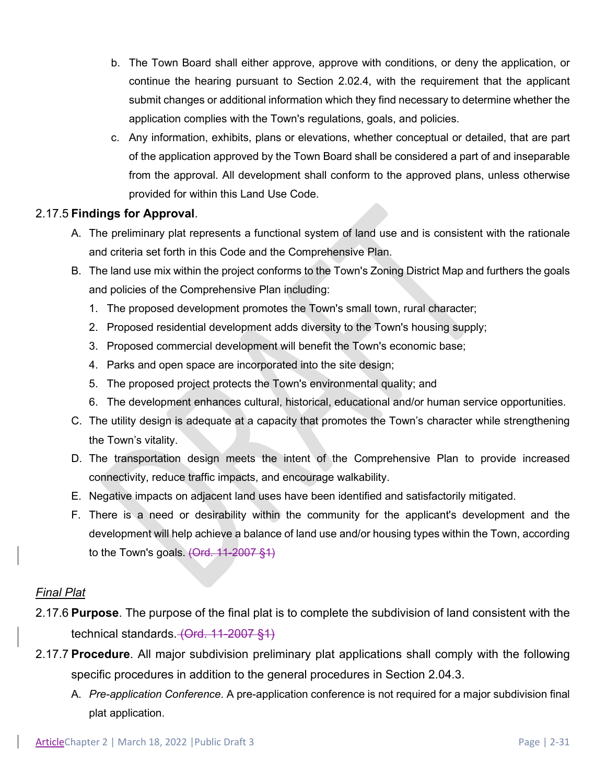- b. The Town Board shall either approve, approve with conditions, or deny the application, or continue the hearing pursuant to Section 2.02.4, with the requirement that the applicant submit changes or additional information which they find necessary to determine whether the application complies with the Town's regulations, goals, and policies.
- c. Any information, exhibits, plans or elevations, whether conceptual or detailed, that are part of the application approved by the Town Board shall be considered a part of and inseparable from the approval. All development shall conform to the approved plans, unless otherwise provided for within this Land Use Code.

#### 2.17.5 **Findings for Approval**.

- A. The preliminary plat represents a functional system of land use and is consistent with the rationale and criteria set forth in this Code and the Comprehensive Plan.
- B. The land use mix within the project conforms to the Town's Zoning District Map and furthers the goals and policies of the Comprehensive Plan including:
	- 1. The proposed development promotes the Town's small town, rural character;
	- 2. Proposed residential development adds diversity to the Town's housing supply;
	- 3. Proposed commercial development will benefit the Town's economic base;
	- 4. Parks and open space are incorporated into the site design;
	- 5. The proposed project protects the Town's environmental quality; and
	- 6. The development enhances cultural, historical, educational and/or human service opportunities.
- C. The utility design is adequate at a capacity that promotes the Town's character while strengthening the Town's vitality.
- D. The transportation design meets the intent of the Comprehensive Plan to provide increased connectivity, reduce traffic impacts, and encourage walkability.
- E. Negative impacts on adjacent land uses have been identified and satisfactorily mitigated.
- F. There is a need or desirability within the community for the applicant's development and the development will help achieve a balance of land use and/or housing types within the Town, according to the Town's goals. (Ord. 11-2007 §1)

### *Final Plat*

- 2.17.6 **Purpose**. The purpose of the final plat is to complete the subdivision of land consistent with the technical standards. (Ord. 11-2007 §1)
- 2.17.7 **Procedure**. All major subdivision preliminary plat applications shall comply with the following specific procedures in addition to the general procedures in Section 2.04.3.
	- A. *Pre-application Conference*. A pre-application conference is not required for a major subdivision final plat application.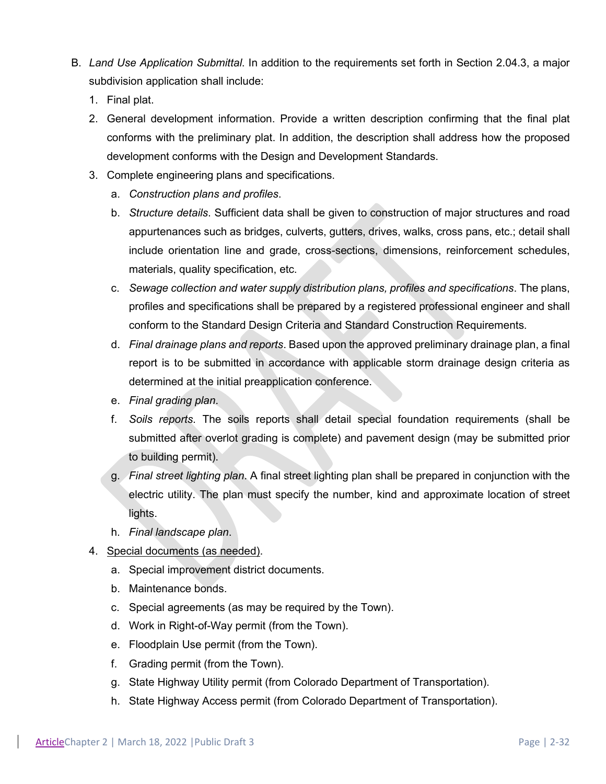- B. *Land Use Application Submittal*. In addition to the requirements set forth in Section 2.04.3, a major subdivision application shall include:
	- 1. Final plat.
	- 2. General development information. Provide a written description confirming that the final plat conforms with the preliminary plat. In addition, the description shall address how the proposed development conforms with the Design and Development Standards.
	- 3. Complete engineering plans and specifications.
		- a. *Construction plans and profiles*.
		- b. *Structure details*. Sufficient data shall be given to construction of major structures and road appurtenances such as bridges, culverts, gutters, drives, walks, cross pans, etc.; detail shall include orientation line and grade, cross-sections, dimensions, reinforcement schedules, materials, quality specification, etc.
		- c. *Sewage collection and water supply distribution plans, profiles and specifications*. The plans, profiles and specifications shall be prepared by a registered professional engineer and shall conform to the Standard Design Criteria and Standard Construction Requirements.
		- d. *Final drainage plans and reports*. Based upon the approved preliminary drainage plan, a final report is to be submitted in accordance with applicable storm drainage design criteria as determined at the initial preapplication conference.
		- e. *Final grading plan*.
		- f. *Soils reports*. The soils reports shall detail special foundation requirements (shall be submitted after overlot grading is complete) and pavement design (may be submitted prior to building permit).
		- g. *Final street lighting plan*. A final street lighting plan shall be prepared in conjunction with the electric utility. The plan must specify the number, kind and approximate location of street lights.
		- h. *Final landscape plan*.
	- 4. Special documents (as needed).
		- a. Special improvement district documents.
		- b. Maintenance bonds.
		- c. Special agreements (as may be required by the Town).
		- d. Work in Right-of-Way permit (from the Town).
		- e. Floodplain Use permit (from the Town).
		- f. Grading permit (from the Town).
		- g. State Highway Utility permit (from Colorado Department of Transportation).
		- h. State Highway Access permit (from Colorado Department of Transportation).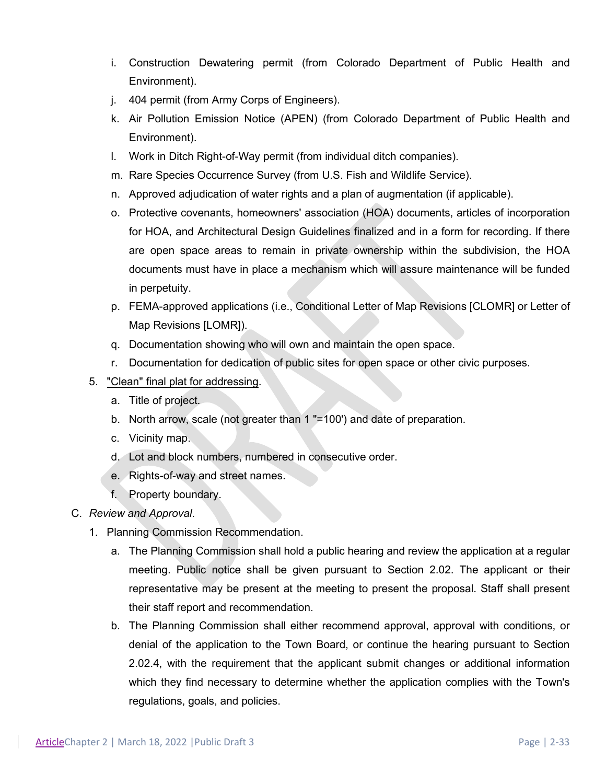- i. Construction Dewatering permit (from Colorado Department of Public Health and Environment).
- j. 404 permit (from Army Corps of Engineers).
- k. Air Pollution Emission Notice (APEN) (from Colorado Department of Public Health and Environment).
- l. Work in Ditch Right-of-Way permit (from individual ditch companies).
- m. Rare Species Occurrence Survey (from U.S. Fish and Wildlife Service).
- n. Approved adjudication of water rights and a plan of augmentation (if applicable).
- o. Protective covenants, homeowners' association (HOA) documents, articles of incorporation for HOA, and Architectural Design Guidelines finalized and in a form for recording. If there are open space areas to remain in private ownership within the subdivision, the HOA documents must have in place a mechanism which will assure maintenance will be funded in perpetuity.
- p. FEMA-approved applications (i.e., Conditional Letter of Map Revisions [CLOMR] or Letter of Map Revisions [LOMR]).
- q. Documentation showing who will own and maintain the open space.
- r. Documentation for dedication of public sites for open space or other civic purposes.

#### 5. "Clean" final plat for addressing.

- a. Title of project.
- b. North arrow, scale (not greater than 1 "=100') and date of preparation.
- c. Vicinity map.
- d. Lot and block numbers, numbered in consecutive order.
- e. Rights-of-way and street names.
- f. Property boundary.

#### C. *Review and Approval*.

- 1. Planning Commission Recommendation.
	- a. The Planning Commission shall hold a public hearing and review the application at a regular meeting. Public notice shall be given pursuant to Section 2.02. The applicant or their representative may be present at the meeting to present the proposal. Staff shall present their staff report and recommendation.
	- b. The Planning Commission shall either recommend approval, approval with conditions, or denial of the application to the Town Board, or continue the hearing pursuant to Section 2.02.4, with the requirement that the applicant submit changes or additional information which they find necessary to determine whether the application complies with the Town's regulations, goals, and policies.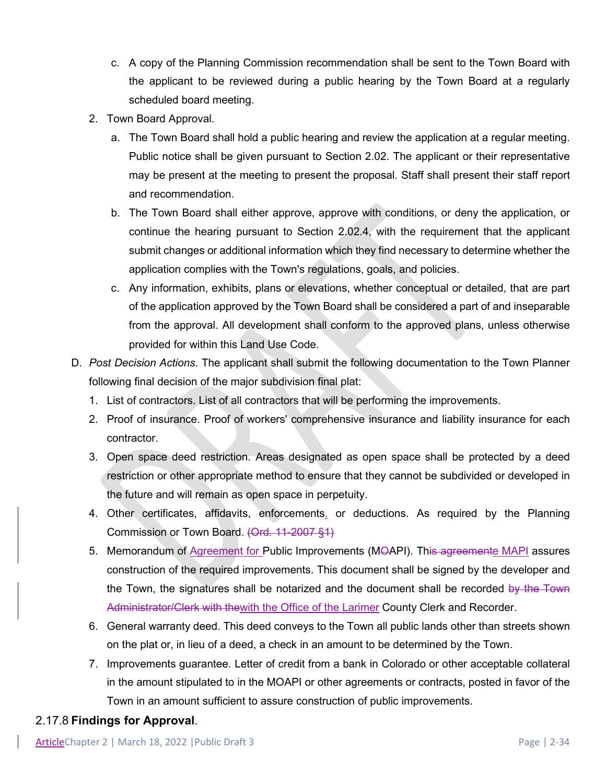- c. A copy of the Planning Commission recommendation shall be sent to the Town Board with the applicant to be reviewed during a public hearing by the Town Board at a regularly scheduled board meeting.
- 2. Town Board Approval.
	- a. The Town Board shall hold a public hearing and review the application at a regular meeting. Public notice shall be given pursuant to Section 2.02. The applicant or their representative may be present at the meeting to present the proposal. Staff shall present their staff report and recommendation.
	- b. The Town Board shall either approve, approve with conditions, or deny the application, or continue the hearing pursuant to Section 2.02.4, with the requirement that the applicant submit changes or additional information which they find necessary to determine whether the application complies with the Town's regulations, goals, and policies.
	- c. Any information, exhibits, plans or elevations, whether conceptual or detailed, that are part of the application approved by the Town Board shall be considered a part of and inseparable from the approval. All development shall conform to the approved plans, unless otherwise provided for within this Land Use Code.
- D. *Post Decision Actions*. The applicant shall submit the following documentation to the Town Planner following final decision of the major subdivision final plat:
	- 1. List of contractors. List of all contractors that will be performing the improvements.
	- 2. Proof of insurance. Proof of workers' comprehensive insurance and liability insurance for each contractor.
	- 3. Open space deed restriction. Areas designated as open space shall be protected by a deed restriction or other appropriate method to ensure that they cannot be subdivided or developed in the future and will remain as open space in perpetuity.
	- 4. Other certificates, affidavits, enforcements, or deductions. As required by the Planning Commission or Town Board. (Ord. 11-2007 §1)
	- 5. Memorandum of Agreement for Public Improvements (MOAPI). This agreemente MAPI assures construction of the required improvements. This document shall be signed by the developer and the Town, the signatures shall be notarized and the document shall be recorded by the Town Administrator/Clerk with thewith the Office of the Larimer County Clerk and Recorder.
	- 6. General warranty deed. This deed conveys to the Town all public lands other than streets shown on the plat or, in lieu of a deed, a check in an amount to be determined by the Town.
	- 7. Improvements guarantee. Letter of credit from a bank in Colorado or other acceptable collateral in the amount stipulated to in the MOAPI or other agreements or contracts, posted in favor of the Town in an amount sufficient to assure construction of public improvements.

### 2.17.8 **Findings for Approval**.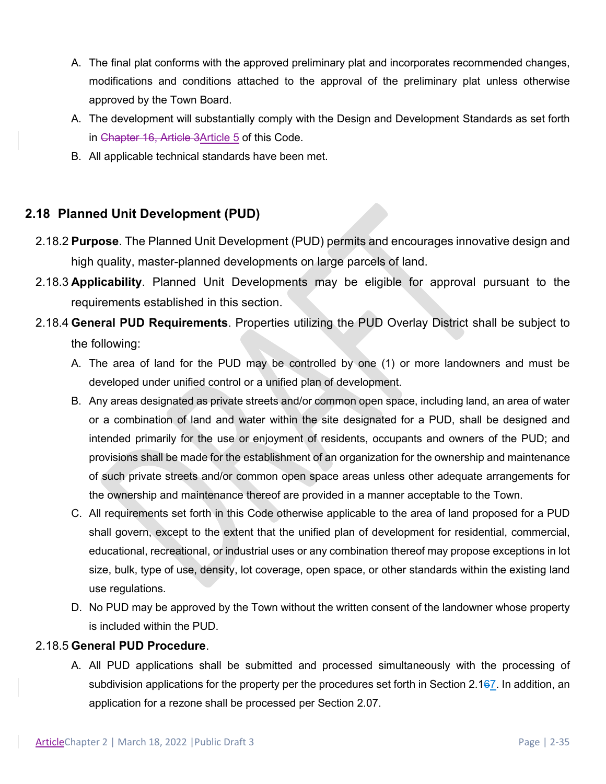- A. The final plat conforms with the approved preliminary plat and incorporates recommended changes, modifications and conditions attached to the approval of the preliminary plat unless otherwise approved by the Town Board.
- A. The development will substantially comply with the Design and Development Standards as set forth in Chapter 16, Article 3Article 5 of this Code.
- B. All applicable technical standards have been met.

# **2.18 Planned Unit Development (PUD)**

- 2.18.2 **Purpose**. The Planned Unit Development (PUD) permits and encourages innovative design and high quality, master-planned developments on large parcels of land.
- 2.18.3 **Applicability**. Planned Unit Developments may be eligible for approval pursuant to the requirements established in this section.
- 2.18.4 **General PUD Requirements**. Properties utilizing the PUD Overlay District shall be subject to the following:
	- A. The area of land for the PUD may be controlled by one (1) or more landowners and must be developed under unified control or a unified plan of development.
	- B. Any areas designated as private streets and/or common open space, including land, an area of water or a combination of land and water within the site designated for a PUD, shall be designed and intended primarily for the use or enjoyment of residents, occupants and owners of the PUD; and provisions shall be made for the establishment of an organization for the ownership and maintenance of such private streets and/or common open space areas unless other adequate arrangements for the ownership and maintenance thereof are provided in a manner acceptable to the Town.
	- C. All requirements set forth in this Code otherwise applicable to the area of land proposed for a PUD shall govern, except to the extent that the unified plan of development for residential, commercial, educational, recreational, or industrial uses or any combination thereof may propose exceptions in lot size, bulk, type of use, density, lot coverage, open space, or other standards within the existing land use regulations.
	- D. No PUD may be approved by the Town without the written consent of the landowner whose property is included within the PUD.

#### 2.18.5 **General PUD Procedure**.

A. All PUD applications shall be submitted and processed simultaneously with the processing of subdivision applications for the property per the procedures set forth in Section 2.167. In addition, an application for a rezone shall be processed per Section 2.07.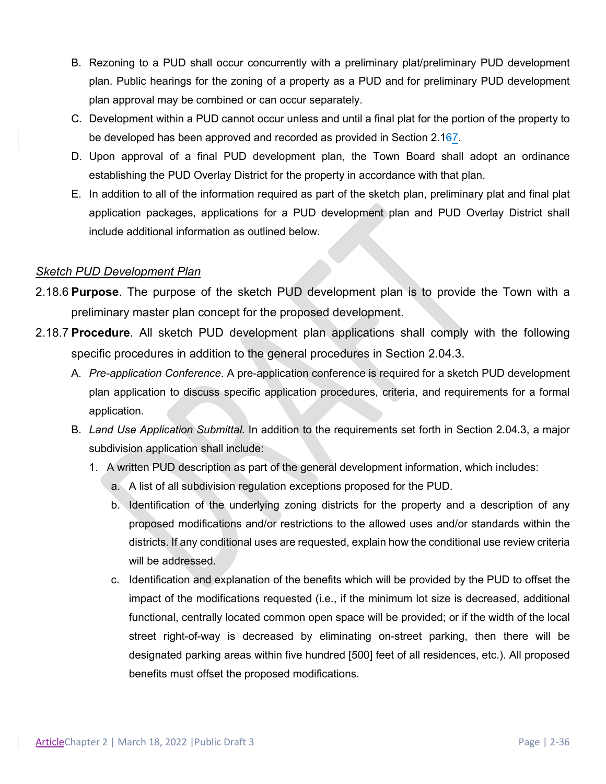- B. Rezoning to a PUD shall occur concurrently with a preliminary plat/preliminary PUD development plan. Public hearings for the zoning of a property as a PUD and for preliminary PUD development plan approval may be combined or can occur separately.
- C. Development within a PUD cannot occur unless and until a final plat for the portion of the property to be developed has been approved and recorded as provided in Section 2.167.
- D. Upon approval of a final PUD development plan, the Town Board shall adopt an ordinance establishing the PUD Overlay District for the property in accordance with that plan.
- E. In addition to all of the information required as part of the sketch plan, preliminary plat and final plat application packages, applications for a PUD development plan and PUD Overlay District shall include additional information as outlined below.

### *Sketch PUD Development Plan*

- 2.18.6 **Purpose**. The purpose of the sketch PUD development plan is to provide the Town with a preliminary master plan concept for the proposed development.
- 2.18.7 **Procedure**. All sketch PUD development plan applications shall comply with the following specific procedures in addition to the general procedures in Section 2.04.3.
	- A. *Pre-application Conference*. A pre-application conference is required for a sketch PUD development plan application to discuss specific application procedures, criteria, and requirements for a formal application.
	- B. *Land Use Application Submittal*. In addition to the requirements set forth in Section 2.04.3, a major subdivision application shall include:
		- 1. A written PUD description as part of the general development information, which includes:
			- a. A list of all subdivision regulation exceptions proposed for the PUD.
			- b. Identification of the underlying zoning districts for the property and a description of any proposed modifications and/or restrictions to the allowed uses and/or standards within the districts. If any conditional uses are requested, explain how the conditional use review criteria will be addressed.
			- c. Identification and explanation of the benefits which will be provided by the PUD to offset the impact of the modifications requested (i.e., if the minimum lot size is decreased, additional functional, centrally located common open space will be provided; or if the width of the local street right-of-way is decreased by eliminating on-street parking, then there will be designated parking areas within five hundred [500] feet of all residences, etc.). All proposed benefits must offset the proposed modifications.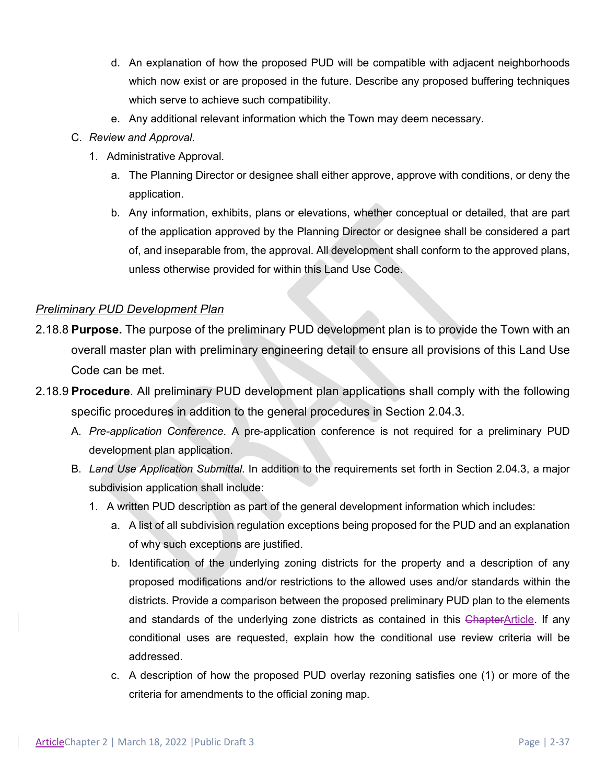- d. An explanation of how the proposed PUD will be compatible with adjacent neighborhoods which now exist or are proposed in the future. Describe any proposed buffering techniques which serve to achieve such compatibility.
- e. Any additional relevant information which the Town may deem necessary.
- C. *Review and Approval*.
	- 1. Administrative Approval.
		- a. The Planning Director or designee shall either approve, approve with conditions, or deny the application.
		- b. Any information, exhibits, plans or elevations, whether conceptual or detailed, that are part of the application approved by the Planning Director or designee shall be considered a part of, and inseparable from, the approval. All development shall conform to the approved plans, unless otherwise provided for within this Land Use Code.

### *Preliminary PUD Development Plan*

- 2.18.8 **Purpose.** The purpose of the preliminary PUD development plan is to provide the Town with an overall master plan with preliminary engineering detail to ensure all provisions of this Land Use Code can be met.
- 2.18.9 **Procedure**. All preliminary PUD development plan applications shall comply with the following specific procedures in addition to the general procedures in Section 2.04.3.
	- A. *Pre-application Conference*. A pre-application conference is not required for a preliminary PUD development plan application.
	- B. *Land Use Application Submittal*. In addition to the requirements set forth in Section 2.04.3, a major subdivision application shall include:
		- 1. A written PUD description as part of the general development information which includes:
			- a. A list of all subdivision regulation exceptions being proposed for the PUD and an explanation of why such exceptions are justified.
			- b. Identification of the underlying zoning districts for the property and a description of any proposed modifications and/or restrictions to the allowed uses and/or standards within the districts. Provide a comparison between the proposed preliminary PUD plan to the elements and standards of the underlying zone districts as contained in this ChapterArticle. If any conditional uses are requested, explain how the conditional use review criteria will be addressed.
			- c. A description of how the proposed PUD overlay rezoning satisfies one (1) or more of the criteria for amendments to the official zoning map.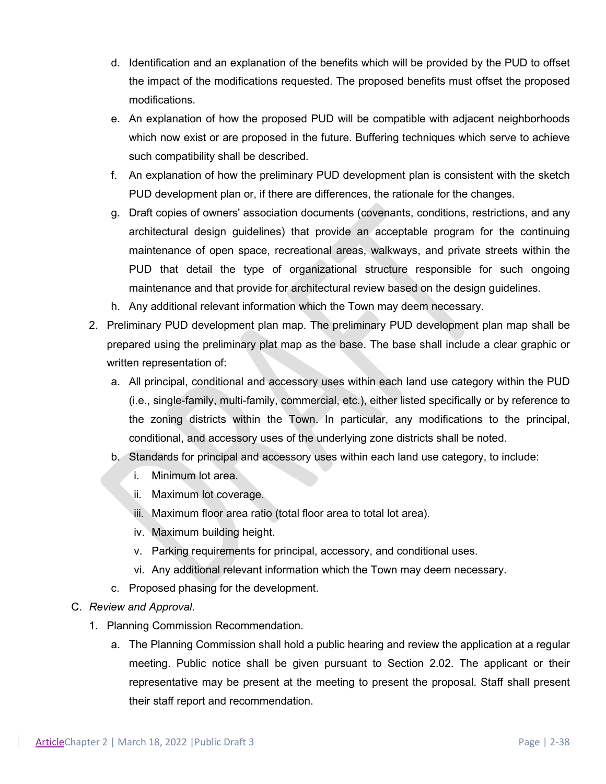- d. Identification and an explanation of the benefits which will be provided by the PUD to offset the impact of the modifications requested. The proposed benefits must offset the proposed modifications.
- e. An explanation of how the proposed PUD will be compatible with adjacent neighborhoods which now exist or are proposed in the future. Buffering techniques which serve to achieve such compatibility shall be described.
- f. An explanation of how the preliminary PUD development plan is consistent with the sketch PUD development plan or, if there are differences, the rationale for the changes.
- g. Draft copies of owners' association documents (covenants, conditions, restrictions, and any architectural design guidelines) that provide an acceptable program for the continuing maintenance of open space, recreational areas, walkways, and private streets within the PUD that detail the type of organizational structure responsible for such ongoing maintenance and that provide for architectural review based on the design guidelines.
- h. Any additional relevant information which the Town may deem necessary.
- 2. Preliminary PUD development plan map. The preliminary PUD development plan map shall be prepared using the preliminary plat map as the base. The base shall include a clear graphic or written representation of:
	- a. All principal, conditional and accessory uses within each land use category within the PUD (i.e., single-family, multi-family, commercial, etc.), either listed specifically or by reference to the zoning districts within the Town. In particular, any modifications to the principal, conditional, and accessory uses of the underlying zone districts shall be noted.
	- b. Standards for principal and accessory uses within each land use category, to include:
		- i. Minimum lot area.
		- ii. Maximum lot coverage.
		- iii. Maximum floor area ratio (total floor area to total lot area).
		- iv. Maximum building height.
		- v. Parking requirements for principal, accessory, and conditional uses.
		- vi. Any additional relevant information which the Town may deem necessary.
	- c. Proposed phasing for the development.
- C. *Review and Approval*.
	- 1. Planning Commission Recommendation.
		- a. The Planning Commission shall hold a public hearing and review the application at a regular meeting. Public notice shall be given pursuant to Section 2.02. The applicant or their representative may be present at the meeting to present the proposal. Staff shall present their staff report and recommendation.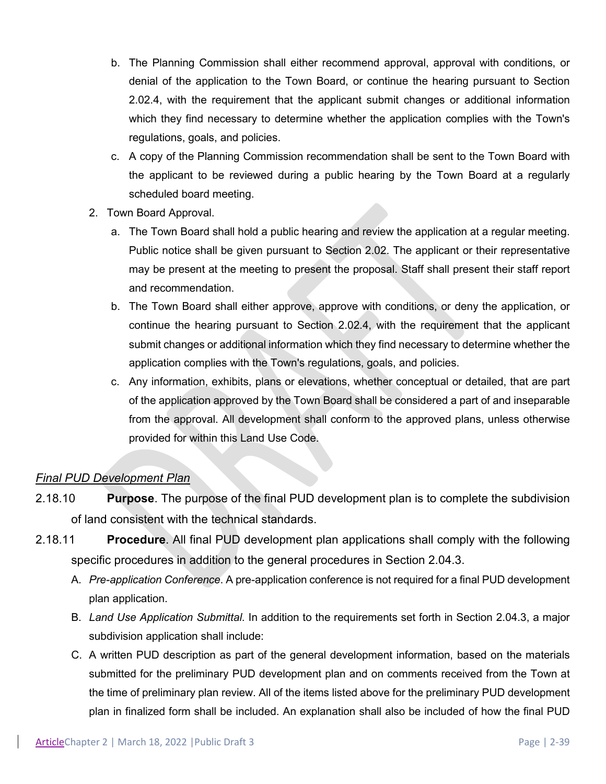- b. The Planning Commission shall either recommend approval, approval with conditions, or denial of the application to the Town Board, or continue the hearing pursuant to Section 2.02.4, with the requirement that the applicant submit changes or additional information which they find necessary to determine whether the application complies with the Town's regulations, goals, and policies.
- c. A copy of the Planning Commission recommendation shall be sent to the Town Board with the applicant to be reviewed during a public hearing by the Town Board at a regularly scheduled board meeting.
- 2. Town Board Approval.
	- a. The Town Board shall hold a public hearing and review the application at a regular meeting. Public notice shall be given pursuant to Section 2.02. The applicant or their representative may be present at the meeting to present the proposal. Staff shall present their staff report and recommendation.
	- b. The Town Board shall either approve, approve with conditions, or deny the application, or continue the hearing pursuant to Section 2.02.4, with the requirement that the applicant submit changes or additional information which they find necessary to determine whether the application complies with the Town's regulations, goals, and policies.
	- c. Any information, exhibits, plans or elevations, whether conceptual or detailed, that are part of the application approved by the Town Board shall be considered a part of and inseparable from the approval. All development shall conform to the approved plans, unless otherwise provided for within this Land Use Code.

### *Final PUD Development Plan*

- 2.18.10 **Purpose**. The purpose of the final PUD development plan is to complete the subdivision of land consistent with the technical standards.
- 2.18.11 **Procedure**. All final PUD development plan applications shall comply with the following specific procedures in addition to the general procedures in Section 2.04.3.
	- A. *Pre-application Conference*. A pre-application conference is not required for a final PUD development plan application.
	- B. *Land Use Application Submittal*. In addition to the requirements set forth in Section 2.04.3, a major subdivision application shall include:
	- C. A written PUD description as part of the general development information, based on the materials submitted for the preliminary PUD development plan and on comments received from the Town at the time of preliminary plan review. All of the items listed above for the preliminary PUD development plan in finalized form shall be included. An explanation shall also be included of how the final PUD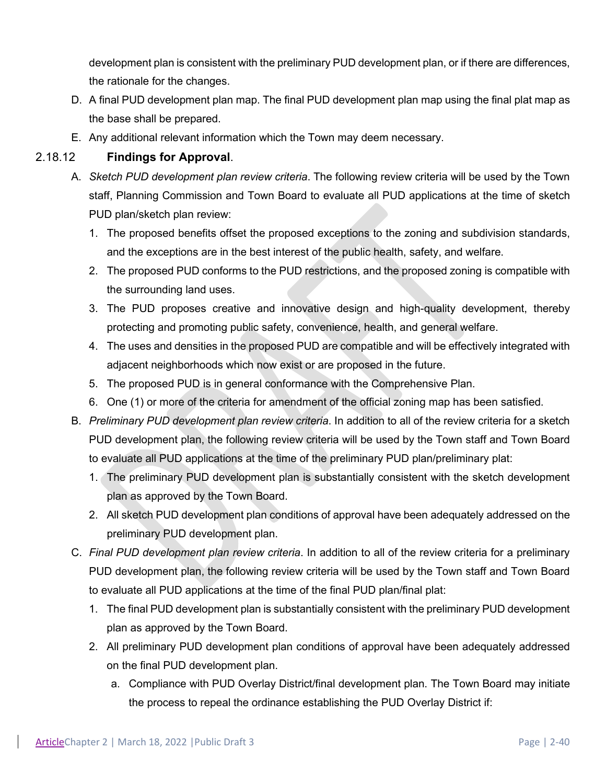development plan is consistent with the preliminary PUD development plan, or if there are differences, the rationale for the changes.

- D. A final PUD development plan map. The final PUD development plan map using the final plat map as the base shall be prepared.
- E. Any additional relevant information which the Town may deem necessary.

### 2.18.12 **Findings for Approval**.

- A. *Sketch PUD development plan review criteria*. The following review criteria will be used by the Town staff, Planning Commission and Town Board to evaluate all PUD applications at the time of sketch PUD plan/sketch plan review:
	- 1. The proposed benefits offset the proposed exceptions to the zoning and subdivision standards, and the exceptions are in the best interest of the public health, safety, and welfare.
	- 2. The proposed PUD conforms to the PUD restrictions, and the proposed zoning is compatible with the surrounding land uses.
	- 3. The PUD proposes creative and innovative design and high-quality development, thereby protecting and promoting public safety, convenience, health, and general welfare.
	- 4. The uses and densities in the proposed PUD are compatible and will be effectively integrated with adjacent neighborhoods which now exist or are proposed in the future.
	- 5. The proposed PUD is in general conformance with the Comprehensive Plan.
	- 6. One (1) or more of the criteria for amendment of the official zoning map has been satisfied.
- B. *Preliminary PUD development plan review criteria*. In addition to all of the review criteria for a sketch PUD development plan, the following review criteria will be used by the Town staff and Town Board to evaluate all PUD applications at the time of the preliminary PUD plan/preliminary plat:
	- 1. The preliminary PUD development plan is substantially consistent with the sketch development plan as approved by the Town Board.
	- 2. All sketch PUD development plan conditions of approval have been adequately addressed on the preliminary PUD development plan.
- C. *Final PUD development plan review criteria*. In addition to all of the review criteria for a preliminary PUD development plan, the following review criteria will be used by the Town staff and Town Board to evaluate all PUD applications at the time of the final PUD plan/final plat:
	- 1. The final PUD development plan is substantially consistent with the preliminary PUD development plan as approved by the Town Board.
	- 2. All preliminary PUD development plan conditions of approval have been adequately addressed on the final PUD development plan.
		- a. Compliance with PUD Overlay District/final development plan. The Town Board may initiate the process to repeal the ordinance establishing the PUD Overlay District if: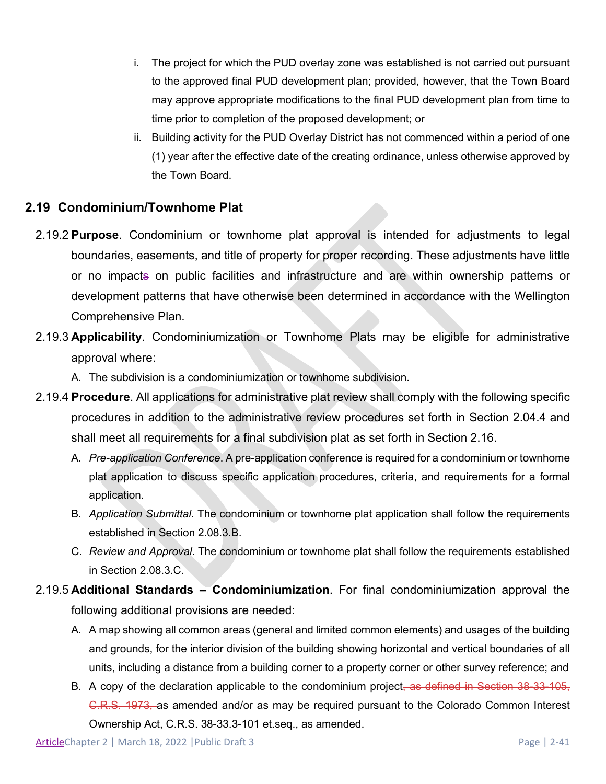- i. The project for which the PUD overlay zone was established is not carried out pursuant to the approved final PUD development plan; provided, however, that the Town Board may approve appropriate modifications to the final PUD development plan from time to time prior to completion of the proposed development; or
- ii. Building activity for the PUD Overlay District has not commenced within a period of one (1) year after the effective date of the creating ordinance, unless otherwise approved by the Town Board.

### **2.19 Condominium/Townhome Plat**

- 2.19.2 **Purpose**. Condominium or townhome plat approval is intended for adjustments to legal boundaries, easements, and title of property for proper recording. These adjustments have little or no impacts on public facilities and infrastructure and are within ownership patterns or development patterns that have otherwise been determined in accordance with the Wellington Comprehensive Plan.
- 2.19.3 **Applicability**. Condominiumization or Townhome Plats may be eligible for administrative approval where:

A. The subdivision is a condominiumization or townhome subdivision.

- 2.19.4 **Procedure**. All applications for administrative plat review shall comply with the following specific procedures in addition to the administrative review procedures set forth in Section 2.04.4 and shall meet all requirements for a final subdivision plat as set forth in Section 2.16.
	- A. *Pre-application Conference*. A pre-application conference is required for a condominium or townhome plat application to discuss specific application procedures, criteria, and requirements for a formal application.
	- B. *Application Submittal*. The condominium or townhome plat application shall follow the requirements established in Section 2.08.3.B.
	- C. *Review and Approval*. The condominium or townhome plat shall follow the requirements established in Section 2.08.3.C.
- 2.19.5 **Additional Standards – Condominiumization**. For final condominiumization approval the following additional provisions are needed:
	- A. A map showing all common areas (general and limited common elements) and usages of the building and grounds, for the interior division of the building showing horizontal and vertical boundaries of all units, including a distance from a building corner to a property corner or other survey reference; and
	- B. A copy of the declaration applicable to the condominium project, as defined in Section 38-33-105, C.R.S. 1973, as amended and/or as may be required pursuant to the Colorado Common Interest Ownership Act, C.R.S. 38-33.3-101 et.seq., as amended.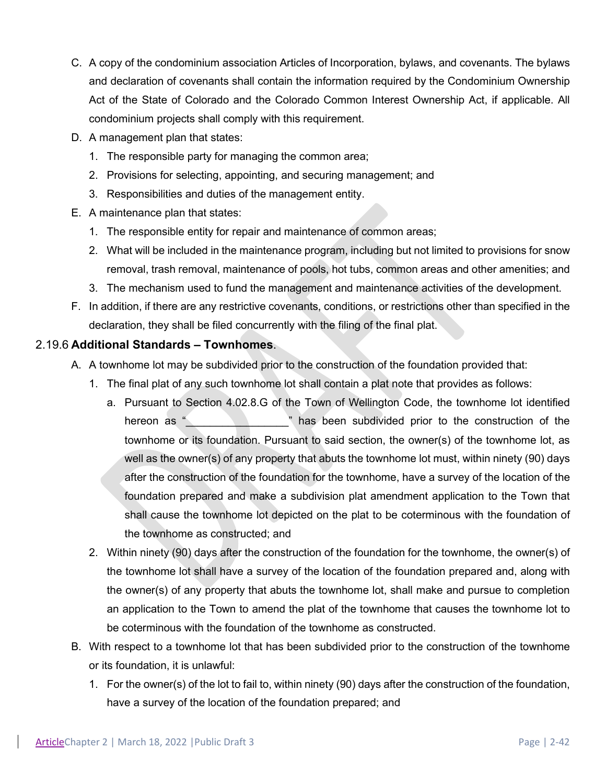- C. A copy of the condominium association Articles of Incorporation, bylaws, and covenants. The bylaws and declaration of covenants shall contain the information required by the Condominium Ownership Act of the State of Colorado and the Colorado Common Interest Ownership Act, if applicable. All condominium projects shall comply with this requirement.
- D. A management plan that states:
	- 1. The responsible party for managing the common area;
	- 2. Provisions for selecting, appointing, and securing management; and
	- 3. Responsibilities and duties of the management entity.
- E. A maintenance plan that states:
	- 1. The responsible entity for repair and maintenance of common areas;
	- 2. What will be included in the maintenance program, including but not limited to provisions for snow removal, trash removal, maintenance of pools, hot tubs, common areas and other amenities; and
	- 3. The mechanism used to fund the management and maintenance activities of the development.
- F. In addition, if there are any restrictive covenants, conditions, or restrictions other than specified in the declaration, they shall be filed concurrently with the filing of the final plat.

#### 2.19.6 **Additional Standards – Townhomes**.

- A. A townhome lot may be subdivided prior to the construction of the foundation provided that:
	- 1. The final plat of any such townhome lot shall contain a plat note that provides as follows:
		- a. Pursuant to Section 4.02.8.G of the Town of Wellington Code, the townhome lot identified hereon as " Thas been subdivided prior to the construction of the townhome or its foundation. Pursuant to said section, the owner(s) of the townhome lot, as well as the owner(s) of any property that abuts the townhome lot must, within ninety (90) days after the construction of the foundation for the townhome, have a survey of the location of the foundation prepared and make a subdivision plat amendment application to the Town that shall cause the townhome lot depicted on the plat to be coterminous with the foundation of the townhome as constructed; and
	- 2. Within ninety (90) days after the construction of the foundation for the townhome, the owner(s) of the townhome lot shall have a survey of the location of the foundation prepared and, along with the owner(s) of any property that abuts the townhome lot, shall make and pursue to completion an application to the Town to amend the plat of the townhome that causes the townhome lot to be coterminous with the foundation of the townhome as constructed.
- B. With respect to a townhome lot that has been subdivided prior to the construction of the townhome or its foundation, it is unlawful:
	- 1. For the owner(s) of the lot to fail to, within ninety (90) days after the construction of the foundation, have a survey of the location of the foundation prepared; and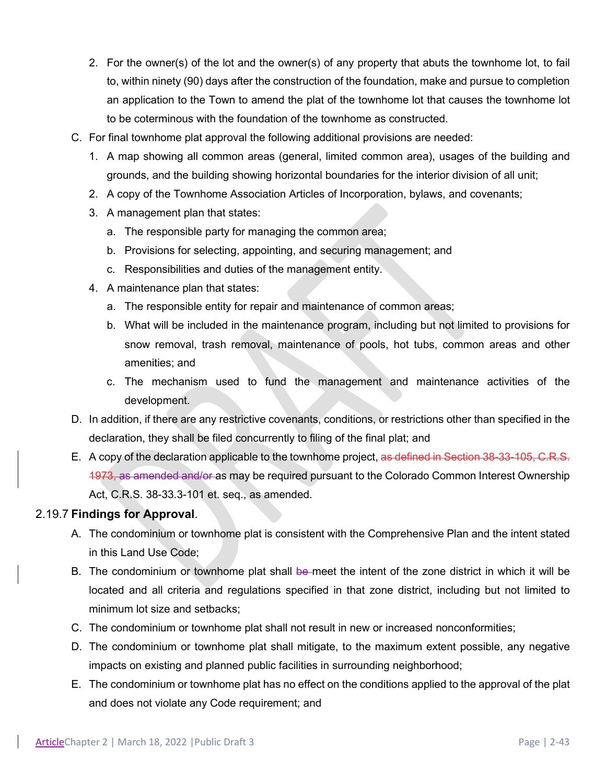- 2. For the owner(s) of the lot and the owner(s) of any property that abuts the townhome lot, to fail to, within ninety (90) days after the construction of the foundation, make and pursue to completion an application to the Town to amend the plat of the townhome lot that causes the townhome lot to be coterminous with the foundation of the townhome as constructed.
- C. For final townhome plat approval the following additional provisions are needed:
	- 1. A map showing all common areas (general, limited common area), usages of the building and grounds, and the building showing horizontal boundaries for the interior division of all unit;
	- 2. A copy of the Townhome Association Articles of Incorporation, bylaws, and covenants;
	- 3. A management plan that states:
		- a. The responsible party for managing the common area;
		- b. Provisions for selecting, appointing, and securing management; and
		- c. Responsibilities and duties of the management entity.
	- 4. A maintenance plan that states:
		- a. The responsible entity for repair and maintenance of common areas;
		- b. What will be included in the maintenance program, including but not limited to provisions for snow removal, trash removal, maintenance of pools, hot tubs, common areas and other amenities; and
		- c. The mechanism used to fund the management and maintenance activities of the development.
- D. In addition, if there are any restrictive covenants, conditions, or restrictions other than specified in the declaration, they shall be filed concurrently to filing of the final plat; and
- E. A copy of the declaration applicable to the townhome project, as defined in Section 38-33-105, C.R.S. 1973, as amended and/or as may be required pursuant to the Colorado Common Interest Ownership Act, C.R.S. 38-33.3-101 et. seq., as amended.

#### 2.19.7 **Findings for Approval**.

- A. The condominium or townhome plat is consistent with the Comprehensive Plan and the intent stated in this Land Use Code;
- B. The condominium or townhome plat shall be meet the intent of the zone district in which it will be located and all criteria and regulations specified in that zone district, including but not limited to minimum lot size and setbacks;
- C. The condominium or townhome plat shall not result in new or increased nonconformities;
- D. The condominium or townhome plat shall mitigate, to the maximum extent possible, any negative impacts on existing and planned public facilities in surrounding neighborhood;
- E. The condominium or townhome plat has no effect on the conditions applied to the approval of the plat and does not violate any Code requirement; and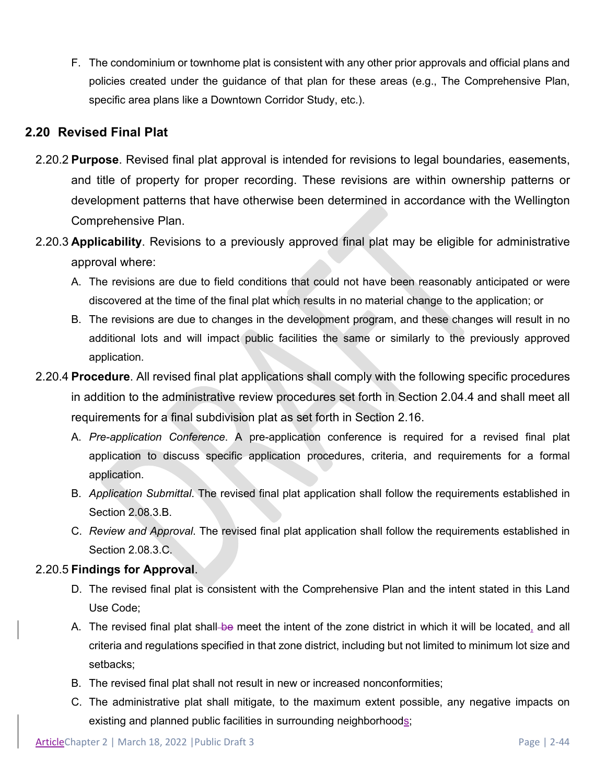F. The condominium or townhome plat is consistent with any other prior approvals and official plans and policies created under the guidance of that plan for these areas (e.g., The Comprehensive Plan, specific area plans like a Downtown Corridor Study, etc.).

# **2.20 Revised Final Plat**

- 2.20.2 **Purpose**. Revised final plat approval is intended for revisions to legal boundaries, easements, and title of property for proper recording. These revisions are within ownership patterns or development patterns that have otherwise been determined in accordance with the Wellington Comprehensive Plan.
- 2.20.3 **Applicability**. Revisions to a previously approved final plat may be eligible for administrative approval where:
	- A. The revisions are due to field conditions that could not have been reasonably anticipated or were discovered at the time of the final plat which results in no material change to the application; or
	- B. The revisions are due to changes in the development program, and these changes will result in no additional lots and will impact public facilities the same or similarly to the previously approved application.
- 2.20.4 **Procedure**. All revised final plat applications shall comply with the following specific procedures in addition to the administrative review procedures set forth in Section 2.04.4 and shall meet all requirements for a final subdivision plat as set forth in Section 2.16.
	- A. *Pre-application Conference*. A pre-application conference is required for a revised final plat application to discuss specific application procedures, criteria, and requirements for a formal application.
	- B. *Application Submittal*. The revised final plat application shall follow the requirements established in Section 2.08.3.B.
	- C. *Review and Approval*. The revised final plat application shall follow the requirements established in Section 2.08.3.C.

### 2.20.5 **Findings for Approval**.

- D. The revised final plat is consistent with the Comprehensive Plan and the intent stated in this Land Use Code;
- A. The revised final plat shall-be meet the intent of the zone district in which it will be located, and all criteria and regulations specified in that zone district, including but not limited to minimum lot size and setbacks;
- B. The revised final plat shall not result in new or increased nonconformities;
- C. The administrative plat shall mitigate, to the maximum extent possible, any negative impacts on existing and planned public facilities in surrounding neighborhoods;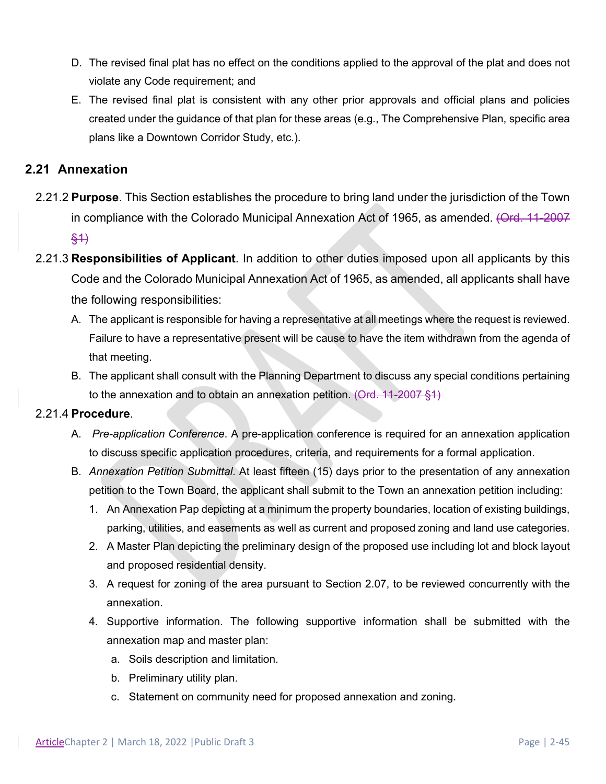- D. The revised final plat has no effect on the conditions applied to the approval of the plat and does not violate any Code requirement; and
- E. The revised final plat is consistent with any other prior approvals and official plans and policies created under the guidance of that plan for these areas (e.g., The Comprehensive Plan, specific area plans like a Downtown Corridor Study, etc.).

### **2.21 Annexation**

- 2.21.2 **Purpose**. This Section establishes the procedure to bring land under the jurisdiction of the Town in compliance with the Colorado Municipal Annexation Act of 1965, as amended. (Ord. 11-2007 §1)
- 2.21.3 **Responsibilities of Applicant**. In addition to other duties imposed upon all applicants by this Code and the Colorado Municipal Annexation Act of 1965, as amended, all applicants shall have the following responsibilities:
	- A. The applicant is responsible for having a representative at all meetings where the request is reviewed. Failure to have a representative present will be cause to have the item withdrawn from the agenda of that meeting.
	- B. The applicant shall consult with the Planning Department to discuss any special conditions pertaining to the annexation and to obtain an annexation petition.  $(Ord. 11-2007 \frac{1}{5}1)$

#### 2.21.4 **Procedure**.

- A. *Pre-application Conference*. A pre-application conference is required for an annexation application to discuss specific application procedures, criteria, and requirements for a formal application.
- B. *Annexation Petition Submittal*. At least fifteen (15) days prior to the presentation of any annexation petition to the Town Board, the applicant shall submit to the Town an annexation petition including:
	- 1. An Annexation Pap depicting at a minimum the property boundaries, location of existing buildings, parking, utilities, and easements as well as current and proposed zoning and land use categories.
	- 2. A Master Plan depicting the preliminary design of the proposed use including lot and block layout and proposed residential density.
	- 3. A request for zoning of the area pursuant to Section 2.07, to be reviewed concurrently with the annexation.
	- 4. Supportive information. The following supportive information shall be submitted with the annexation map and master plan:
		- a. Soils description and limitation.
		- b. Preliminary utility plan.
		- c. Statement on community need for proposed annexation and zoning.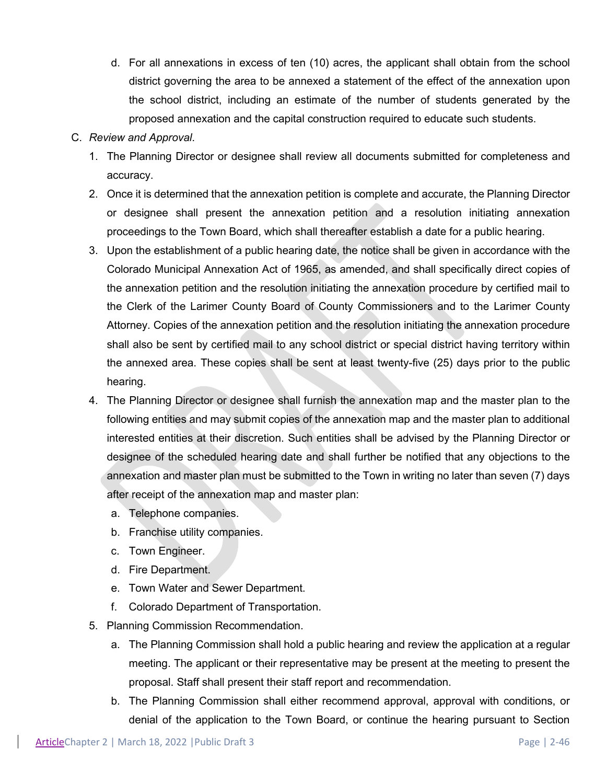d. For all annexations in excess of ten (10) acres, the applicant shall obtain from the school district governing the area to be annexed a statement of the effect of the annexation upon the school district, including an estimate of the number of students generated by the proposed annexation and the capital construction required to educate such students.

#### C. *Review and Approval*.

- 1. The Planning Director or designee shall review all documents submitted for completeness and accuracy.
- 2. Once it is determined that the annexation petition is complete and accurate, the Planning Director or designee shall present the annexation petition and a resolution initiating annexation proceedings to the Town Board, which shall thereafter establish a date for a public hearing.
- 3. Upon the establishment of a public hearing date, the notice shall be given in accordance with the Colorado Municipal Annexation Act of 1965, as amended, and shall specifically direct copies of the annexation petition and the resolution initiating the annexation procedure by certified mail to the Clerk of the Larimer County Board of County Commissioners and to the Larimer County Attorney. Copies of the annexation petition and the resolution initiating the annexation procedure shall also be sent by certified mail to any school district or special district having territory within the annexed area. These copies shall be sent at least twenty-five (25) days prior to the public hearing.
- 4. The Planning Director or designee shall furnish the annexation map and the master plan to the following entities and may submit copies of the annexation map and the master plan to additional interested entities at their discretion. Such entities shall be advised by the Planning Director or designee of the scheduled hearing date and shall further be notified that any objections to the annexation and master plan must be submitted to the Town in writing no later than seven (7) days after receipt of the annexation map and master plan:
	- a. Telephone companies.
	- b. Franchise utility companies.
	- c. Town Engineer.
	- d. Fire Department.
	- e. Town Water and Sewer Department.
	- f. Colorado Department of Transportation.
- 5. Planning Commission Recommendation.
	- a. The Planning Commission shall hold a public hearing and review the application at a regular meeting. The applicant or their representative may be present at the meeting to present the proposal. Staff shall present their staff report and recommendation.
	- b. The Planning Commission shall either recommend approval, approval with conditions, or denial of the application to the Town Board, or continue the hearing pursuant to Section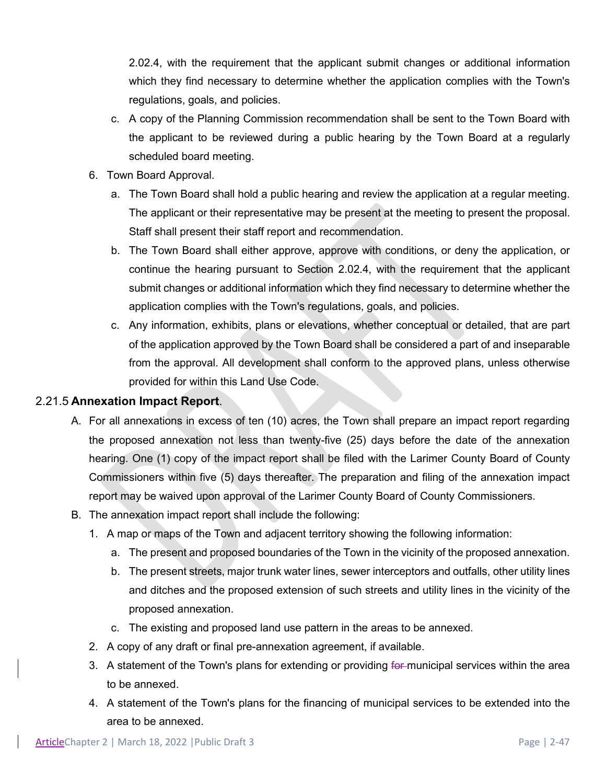2.02.4, with the requirement that the applicant submit changes or additional information which they find necessary to determine whether the application complies with the Town's regulations, goals, and policies.

- c. A copy of the Planning Commission recommendation shall be sent to the Town Board with the applicant to be reviewed during a public hearing by the Town Board at a regularly scheduled board meeting.
- 6. Town Board Approval.
	- a. The Town Board shall hold a public hearing and review the application at a regular meeting. The applicant or their representative may be present at the meeting to present the proposal. Staff shall present their staff report and recommendation.
	- b. The Town Board shall either approve, approve with conditions, or deny the application, or continue the hearing pursuant to Section 2.02.4, with the requirement that the applicant submit changes or additional information which they find necessary to determine whether the application complies with the Town's regulations, goals, and policies.
	- c. Any information, exhibits, plans or elevations, whether conceptual or detailed, that are part of the application approved by the Town Board shall be considered a part of and inseparable from the approval. All development shall conform to the approved plans, unless otherwise provided for within this Land Use Code.

#### 2.21.5 **Annexation Impact Report**.

- A. For all annexations in excess of ten (10) acres, the Town shall prepare an impact report regarding the proposed annexation not less than twenty-five (25) days before the date of the annexation hearing. One (1) copy of the impact report shall be filed with the Larimer County Board of County Commissioners within five (5) days thereafter. The preparation and filing of the annexation impact report may be waived upon approval of the Larimer County Board of County Commissioners.
- B. The annexation impact report shall include the following:
	- 1. A map or maps of the Town and adjacent territory showing the following information:
		- a. The present and proposed boundaries of the Town in the vicinity of the proposed annexation.
		- b. The present streets, major trunk water lines, sewer interceptors and outfalls, other utility lines and ditches and the proposed extension of such streets and utility lines in the vicinity of the proposed annexation.
		- c. The existing and proposed land use pattern in the areas to be annexed.
	- 2. A copy of any draft or final pre-annexation agreement, if available.
	- 3. A statement of the Town's plans for extending or providing for municipal services within the area to be annexed.
	- 4. A statement of the Town's plans for the financing of municipal services to be extended into the area to be annexed.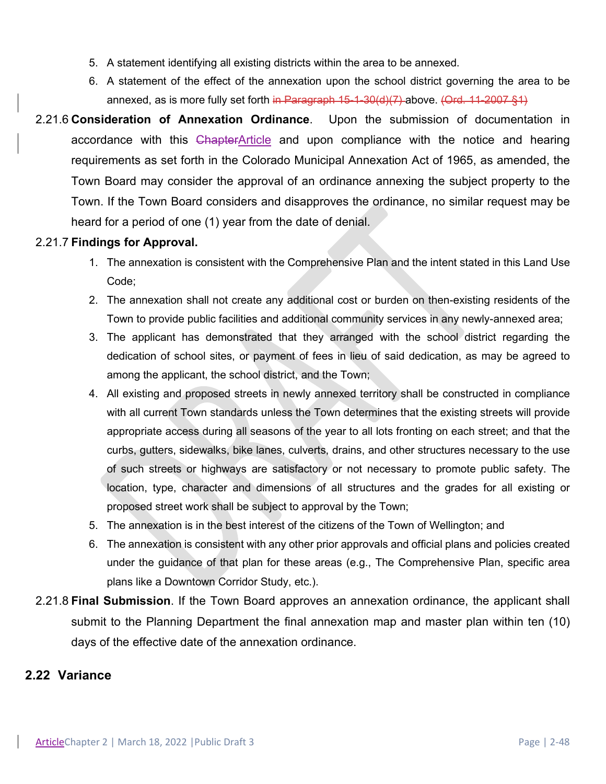- 5. A statement identifying all existing districts within the area to be annexed.
- 6. A statement of the effect of the annexation upon the school district governing the area to be annexed, as is more fully set forth in Paragraph  $15-1-30(4)(7)$ -above. (Ord. 11-2007 §1)
- 2.21.6 **Consideration of Annexation Ordinance**. Upon the submission of documentation in accordance with this ChapterArticle and upon compliance with the notice and hearing requirements as set forth in the Colorado Municipal Annexation Act of 1965, as amended, the Town Board may consider the approval of an ordinance annexing the subject property to the Town. If the Town Board considers and disapproves the ordinance, no similar request may be heard for a period of one (1) year from the date of denial.

#### 2.21.7 **Findings for Approval.**

- 1. The annexation is consistent with the Comprehensive Plan and the intent stated in this Land Use Code;
- 2. The annexation shall not create any additional cost or burden on then-existing residents of the Town to provide public facilities and additional community services in any newly-annexed area;
- 3. The applicant has demonstrated that they arranged with the school district regarding the dedication of school sites, or payment of fees in lieu of said dedication, as may be agreed to among the applicant, the school district, and the Town;
- 4. All existing and proposed streets in newly annexed territory shall be constructed in compliance with all current Town standards unless the Town determines that the existing streets will provide appropriate access during all seasons of the year to all lots fronting on each street; and that the curbs, gutters, sidewalks, bike lanes, culverts, drains, and other structures necessary to the use of such streets or highways are satisfactory or not necessary to promote public safety. The location, type, character and dimensions of all structures and the grades for all existing or proposed street work shall be subject to approval by the Town;
- 5. The annexation is in the best interest of the citizens of the Town of Wellington; and
- 6. The annexation is consistent with any other prior approvals and official plans and policies created under the guidance of that plan for these areas (e.g., The Comprehensive Plan, specific area plans like a Downtown Corridor Study, etc.).
- 2.21.8 **Final Submission**. If the Town Board approves an annexation ordinance, the applicant shall submit to the Planning Department the final annexation map and master plan within ten (10) days of the effective date of the annexation ordinance.

### **2.22 Variance**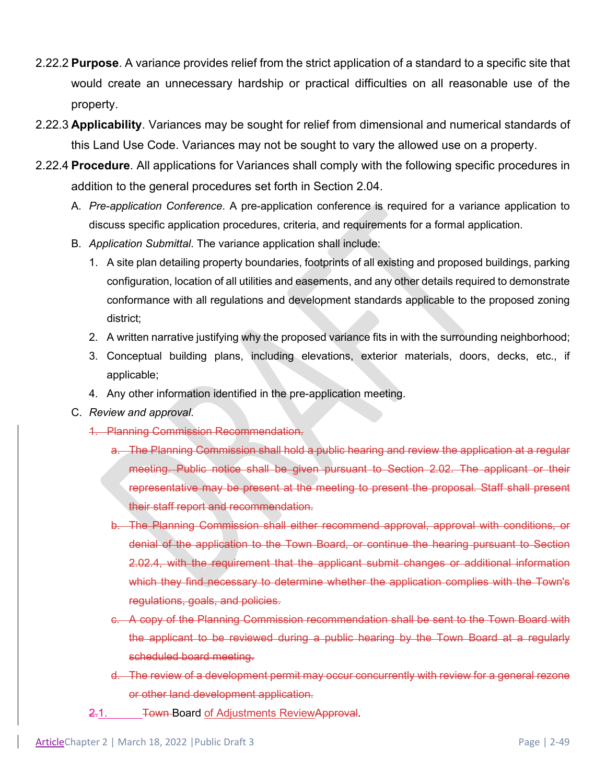- 2.22.2 **Purpose**. A variance provides relief from the strict application of a standard to a specific site that would create an unnecessary hardship or practical difficulties on all reasonable use of the property.
- 2.22.3 **Applicability**. Variances may be sought for relief from dimensional and numerical standards of this Land Use Code. Variances may not be sought to vary the allowed use on a property.
- 2.22.4 **Procedure**. All applications for Variances shall comply with the following specific procedures in addition to the general procedures set forth in Section 2.04.
	- A. *Pre-application Conference*. A pre-application conference is required for a variance application to discuss specific application procedures, criteria, and requirements for a formal application.
	- B. *Application Submittal*. The variance application shall include:
		- 1. A site plan detailing property boundaries, footprints of all existing and proposed buildings, parking configuration, location of all utilities and easements, and any other details required to demonstrate conformance with all regulations and development standards applicable to the proposed zoning district;
		- 2. A written narrative justifying why the proposed variance fits in with the surrounding neighborhood;
		- 3. Conceptual building plans, including elevations, exterior materials, doors, decks, etc., if applicable;
		- 4. Any other information identified in the pre-application meeting.
	- C. *Review and approval*.
		- 1. Planning Commission Recommendation.
			- a. The Planning Commission shall hold a public hearing and review the application at a regular meeting. Public notice shall be given pursuant to Section 2.02. The applicant or their representative may be present at the meeting to present the proposal. Staff shall present their staff report and recommendation.
			- b. The Planning Commission shall either recommend approval, approval with conditions, or denial of the application to the Town Board, or continue the hearing pursuant to Section 2.02.4, with the requirement that the applicant submit changes or additional information which they find necessary to determine whether the application complies with the Town's regulations, goals, and policies.
			- c. A copy of the Planning Commission recommendation shall be sent to the Town Board with the applicant to be reviewed during a public hearing by the Town Board at a regularly scheduled board meeting.
			- d. The review of a development permit may occur concurrently with review for a general rezone or other land development application.
		- 2.1. Town-Board of Adjustments ReviewApproval.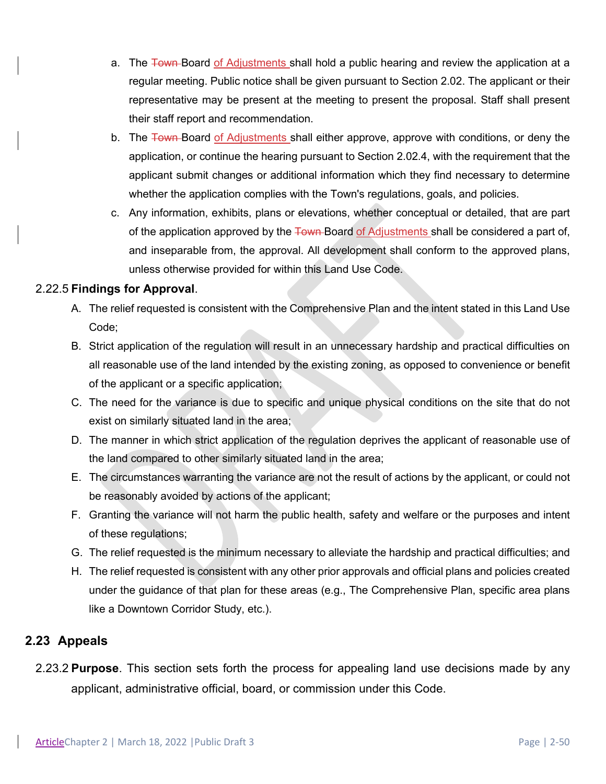- a. The Town-Board of Adjustments shall hold a public hearing and review the application at a regular meeting. Public notice shall be given pursuant to Section 2.02. The applicant or their representative may be present at the meeting to present the proposal. Staff shall present their staff report and recommendation.
- b. The Town Board of Adjustments shall either approve, approve with conditions, or deny the application, or continue the hearing pursuant to Section 2.02.4, with the requirement that the applicant submit changes or additional information which they find necessary to determine whether the application complies with the Town's regulations, goals, and policies.
- c. Any information, exhibits, plans or elevations, whether conceptual or detailed, that are part of the application approved by the Town-Board of Adjustments shall be considered a part of, and inseparable from, the approval. All development shall conform to the approved plans, unless otherwise provided for within this Land Use Code.

### 2.22.5 **Findings for Approval**.

- A. The relief requested is consistent with the Comprehensive Plan and the intent stated in this Land Use Code;
- B. Strict application of the regulation will result in an unnecessary hardship and practical difficulties on all reasonable use of the land intended by the existing zoning, as opposed to convenience or benefit of the applicant or a specific application;
- C. The need for the variance is due to specific and unique physical conditions on the site that do not exist on similarly situated land in the area;
- D. The manner in which strict application of the regulation deprives the applicant of reasonable use of the land compared to other similarly situated land in the area;
- E. The circumstances warranting the variance are not the result of actions by the applicant, or could not be reasonably avoided by actions of the applicant;
- F. Granting the variance will not harm the public health, safety and welfare or the purposes and intent of these regulations;
- G. The relief requested is the minimum necessary to alleviate the hardship and practical difficulties; and
- H. The relief requested is consistent with any other prior approvals and official plans and policies created under the guidance of that plan for these areas (e.g., The Comprehensive Plan, specific area plans like a Downtown Corridor Study, etc.).

### **2.23 Appeals**

2.23.2 **Purpose**. This section sets forth the process for appealing land use decisions made by any applicant, administrative official, board, or commission under this Code.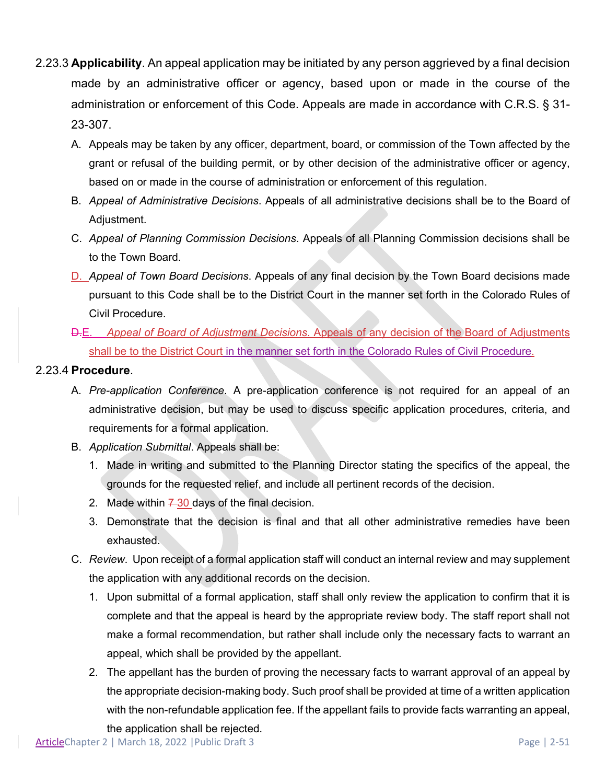- 2.23.3 **Applicability**. An appeal application may be initiated by any person aggrieved by a final decision made by an administrative officer or agency, based upon or made in the course of the administration or enforcement of this Code. Appeals are made in accordance with C.R.S. § 31- 23-307.
	- A. Appeals may be taken by any officer, department, board, or commission of the Town affected by the grant or refusal of the building permit, or by other decision of the administrative officer or agency, based on or made in the course of administration or enforcement of this regulation.
	- B. *Appeal of Administrative Decisions*. Appeals of all administrative decisions shall be to the Board of Adjustment.
	- C. *Appeal of Planning Commission Decisions*. Appeals of all Planning Commission decisions shall be to the Town Board.
	- D. *Appeal of Town Board Decisions*. Appeals of any final decision by the Town Board decisions made pursuant to this Code shall be to the District Court in the manner set forth in the Colorado Rules of Civil Procedure.
	- D.E. *Appeal of Board of Adjustment Decisions*. Appeals of any decision of the Board of Adjustments shall be to the District Court in the manner set forth in the Colorado Rules of Civil Procedure.

### 2.23.4 **Procedure**.

- A. *Pre-application Conference*. A pre-application conference is not required for an appeal of an administrative decision, but may be used to discuss specific application procedures, criteria, and requirements for a formal application.
- B. *Application Submittal*. Appeals shall be:
	- 1. Made in writing and submitted to the Planning Director stating the specifics of the appeal, the grounds for the requested relief, and include all pertinent records of the decision.
	- 2. Made within  $7-30$  days of the final decision.
	- 3. Demonstrate that the decision is final and that all other administrative remedies have been exhausted.
- C. *Review*. Upon receipt of a formal application staff will conduct an internal review and may supplement the application with any additional records on the decision.
	- 1. Upon submittal of a formal application, staff shall only review the application to confirm that it is complete and that the appeal is heard by the appropriate review body. The staff report shall not make a formal recommendation, but rather shall include only the necessary facts to warrant an appeal, which shall be provided by the appellant.
	- 2. The appellant has the burden of proving the necessary facts to warrant approval of an appeal by the appropriate decision-making body. Such proof shall be provided at time of a written application with the non-refundable application fee. If the appellant fails to provide facts warranting an appeal, the application shall be rejected.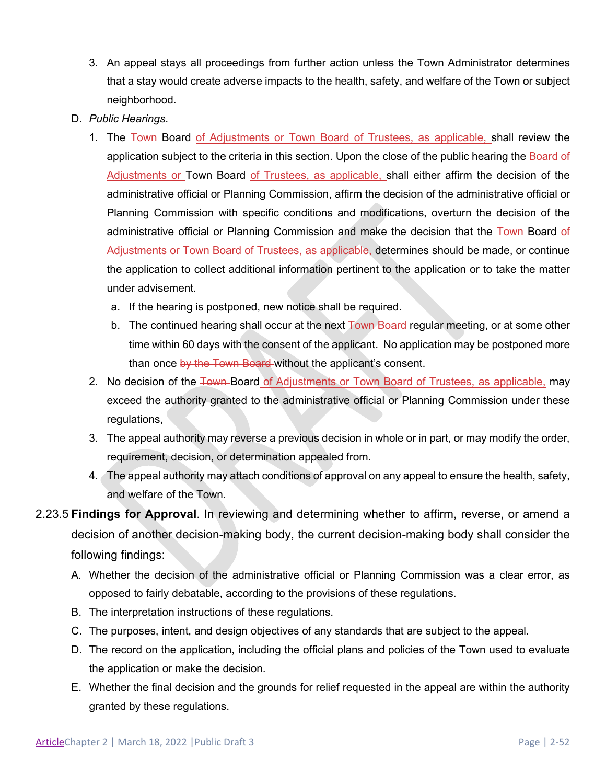- 3. An appeal stays all proceedings from further action unless the Town Administrator determines that a stay would create adverse impacts to the health, safety, and welfare of the Town or subject neighborhood.
- D. *Public Hearings*.
	- 1. The Town Board of Adjustments or Town Board of Trustees, as applicable, shall review the application subject to the criteria in this section. Upon the close of the public hearing the Board of Adjustments or Town Board of Trustees, as applicable, shall either affirm the decision of the administrative official or Planning Commission, affirm the decision of the administrative official or Planning Commission with specific conditions and modifications, overturn the decision of the administrative official or Planning Commission and make the decision that the Town Board of Adjustments or Town Board of Trustees, as applicable, determines should be made, or continue the application to collect additional information pertinent to the application or to take the matter under advisement.
		- a. If the hearing is postponed, new notice shall be required.
		- b. The continued hearing shall occur at the next Town Board-regular meeting, or at some other time within 60 days with the consent of the applicant. No application may be postponed more than once by the Town Board without the applicant's consent.
	- 2. No decision of the Town-Board of Adjustments or Town Board of Trustees, as applicable, may exceed the authority granted to the administrative official or Planning Commission under these regulations,
	- 3. The appeal authority may reverse a previous decision in whole or in part, or may modify the order, requirement, decision, or determination appealed from.
	- 4. The appeal authority may attach conditions of approval on any appeal to ensure the health, safety, and welfare of the Town.
- 2.23.5 **Findings for Approval**. In reviewing and determining whether to affirm, reverse, or amend a decision of another decision-making body, the current decision-making body shall consider the following findings:
	- A. Whether the decision of the administrative official or Planning Commission was a clear error, as opposed to fairly debatable, according to the provisions of these regulations.
	- B. The interpretation instructions of these regulations.
	- C. The purposes, intent, and design objectives of any standards that are subject to the appeal.
	- D. The record on the application, including the official plans and policies of the Town used to evaluate the application or make the decision.
	- E. Whether the final decision and the grounds for relief requested in the appeal are within the authority granted by these regulations.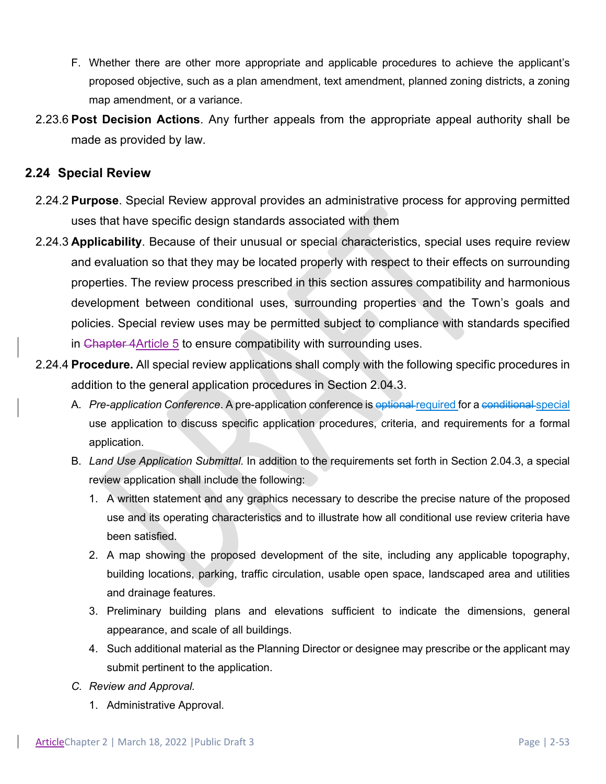- F. Whether there are other more appropriate and applicable procedures to achieve the applicant's proposed objective, such as a plan amendment, text amendment, planned zoning districts, a zoning map amendment, or a variance.
- 2.23.6 **Post Decision Actions**. Any further appeals from the appropriate appeal authority shall be made as provided by law.

### **2.24 Special Review**

- 2.24.2 **Purpose**. Special Review approval provides an administrative process for approving permitted uses that have specific design standards associated with them
- 2.24.3 **Applicability**. Because of their unusual or special characteristics, special uses require review and evaluation so that they may be located properly with respect to their effects on surrounding properties. The review process prescribed in this section assures compatibility and harmonious development between conditional uses, surrounding properties and the Town's goals and policies. Special review uses may be permitted subject to compliance with standards specified in Chapter 4Article 5 to ensure compatibility with surrounding uses.
- 2.24.4 **Procedure.** All special review applications shall comply with the following specific procedures in addition to the general application procedures in Section 2.04.3.
	- A. *Pre-application Conference*. A pre-application conference is optional required for a conditional special use application to discuss specific application procedures, criteria, and requirements for a formal application.
	- B. *Land Use Application Submittal*. In addition to the requirements set forth in Section 2.04.3, a special review application shall include the following:
		- 1. A written statement and any graphics necessary to describe the precise nature of the proposed use and its operating characteristics and to illustrate how all conditional use review criteria have been satisfied.
		- 2. A map showing the proposed development of the site, including any applicable topography, building locations, parking, traffic circulation, usable open space, landscaped area and utilities and drainage features.
		- 3. Preliminary building plans and elevations sufficient to indicate the dimensions, general appearance, and scale of all buildings.
		- 4. Such additional material as the Planning Director or designee may prescribe or the applicant may submit pertinent to the application.
	- *C. Review and Approval.* 
		- 1. Administrative Approval.